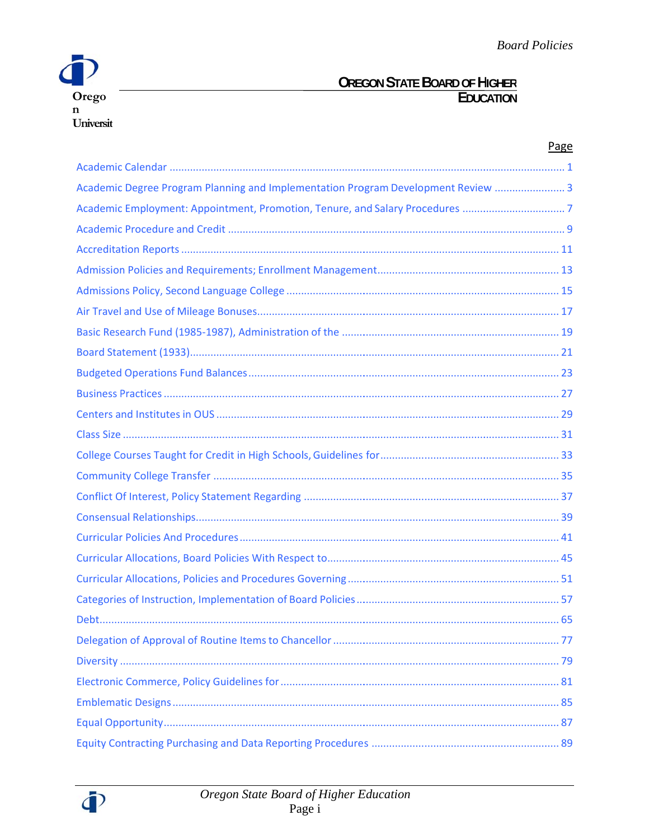

# **OREGON STATE BOARD OF HIGHER**<br>EDUCATION

|                                                                                   | <b>Page</b> |
|-----------------------------------------------------------------------------------|-------------|
|                                                                                   |             |
| Academic Degree Program Planning and Implementation Program Development Review  3 |             |
| Academic Employment: Appointment, Promotion, Tenure, and Salary Procedures 7      |             |
|                                                                                   |             |
|                                                                                   |             |
|                                                                                   |             |
|                                                                                   |             |
|                                                                                   |             |
|                                                                                   |             |
|                                                                                   |             |
|                                                                                   |             |
|                                                                                   |             |
|                                                                                   |             |
|                                                                                   |             |
|                                                                                   |             |
|                                                                                   |             |
|                                                                                   |             |
|                                                                                   |             |
|                                                                                   |             |
|                                                                                   |             |
|                                                                                   |             |
|                                                                                   |             |
|                                                                                   |             |
|                                                                                   |             |
|                                                                                   |             |
|                                                                                   |             |
|                                                                                   |             |
|                                                                                   |             |
|                                                                                   |             |

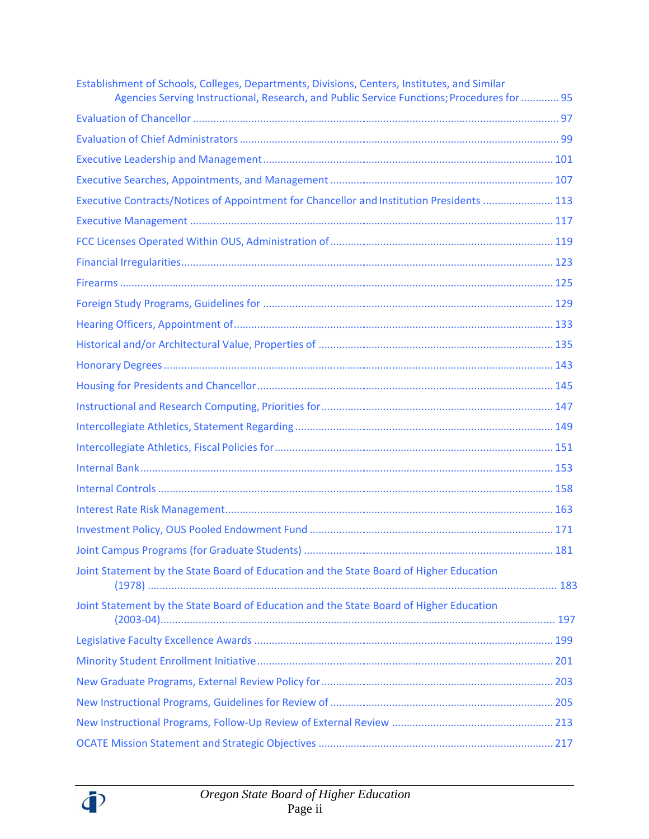| Establishment of Schools, Colleges, Departments, Divisions, Centers, Institutes, and Similar<br>Agencies Serving Instructional, Research, and Public Service Functions; Procedures for  95 |  |
|--------------------------------------------------------------------------------------------------------------------------------------------------------------------------------------------|--|
|                                                                                                                                                                                            |  |
|                                                                                                                                                                                            |  |
|                                                                                                                                                                                            |  |
|                                                                                                                                                                                            |  |
| Executive Contracts/Notices of Appointment for Chancellor and Institution Presidents  113                                                                                                  |  |
|                                                                                                                                                                                            |  |
|                                                                                                                                                                                            |  |
|                                                                                                                                                                                            |  |
|                                                                                                                                                                                            |  |
|                                                                                                                                                                                            |  |
|                                                                                                                                                                                            |  |
|                                                                                                                                                                                            |  |
|                                                                                                                                                                                            |  |
|                                                                                                                                                                                            |  |
|                                                                                                                                                                                            |  |
|                                                                                                                                                                                            |  |
|                                                                                                                                                                                            |  |
|                                                                                                                                                                                            |  |
|                                                                                                                                                                                            |  |
|                                                                                                                                                                                            |  |
|                                                                                                                                                                                            |  |
|                                                                                                                                                                                            |  |
| Joint Statement by the State Board of Education and the State Board of Higher Education                                                                                                    |  |
| Joint Statement by the State Board of Education and the State Board of Higher Education                                                                                                    |  |
|                                                                                                                                                                                            |  |
|                                                                                                                                                                                            |  |
|                                                                                                                                                                                            |  |
|                                                                                                                                                                                            |  |
|                                                                                                                                                                                            |  |
|                                                                                                                                                                                            |  |

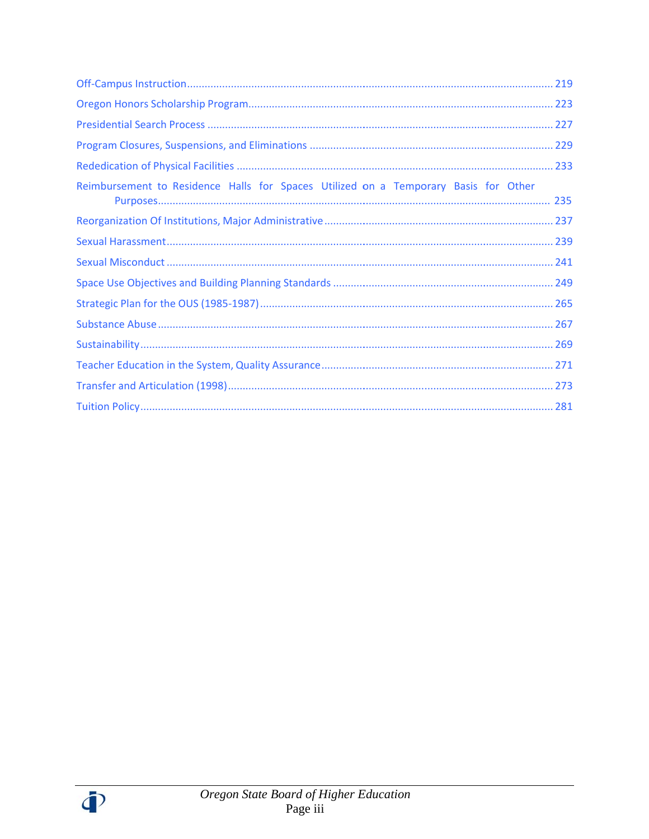| Reimbursement to Residence Halls for Spaces Utilized on a Temporary Basis for Other |  |
|-------------------------------------------------------------------------------------|--|
|                                                                                     |  |
|                                                                                     |  |
|                                                                                     |  |
|                                                                                     |  |
|                                                                                     |  |
|                                                                                     |  |
|                                                                                     |  |
|                                                                                     |  |
|                                                                                     |  |
|                                                                                     |  |

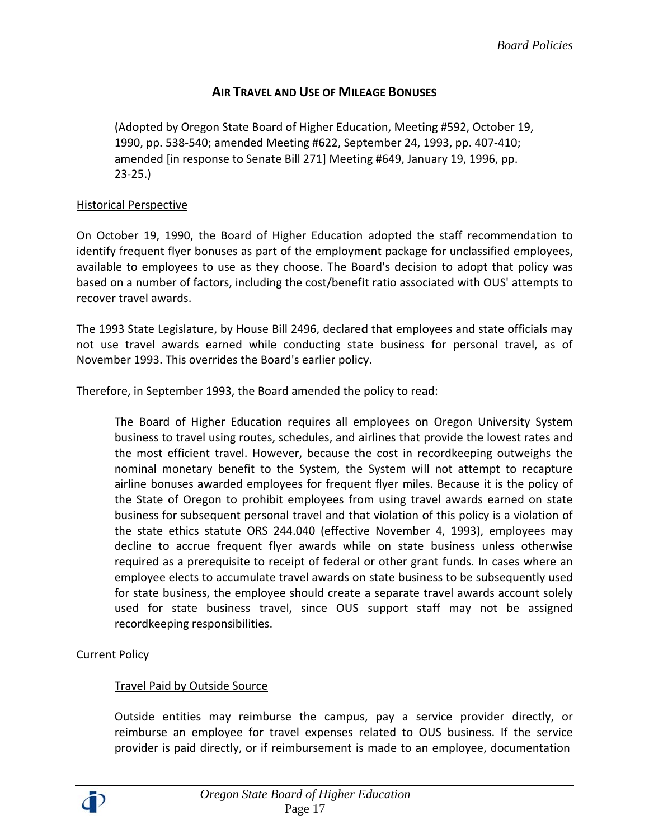### **AIR TRAVEL AND USE OF MILEAGE BONUSES**

(Adopted by Oregon State Board of Higher Education, Meeting #592, October 19, 1990, pp. 538-540; amended Meeting #622, September 24, 1993, pp. 407-410; amended (in response to Senate Bill 271) Meeting #649, January 19, 1996, pp.  $23 - 25.$ 

#### **Historical Perspective**

On October 19, 1990, the Board of Higher Education adopted the staff recommendation to identify frequent flyer bonuses as part of the employment package for unclassified employees, available to employees to use as they choose. The Board's decision to adopt that policy was based on a number of factors, including the cost/benefit ratio associated with OUS' attempts to recover travel awards.

The 1993 State Legislature, by House Bill 2496, declared that employees and state officials may not use travel awards earned while conducting state business for personal travel, as of November 1993. This overrides the Board's earlier policy.

Therefore, in September 1993, the Board amended the policy to read:

The Board of Higher Education requires all employees on Oregon University System business to travel using routes, schedules, and airlines that provide the lowest rates and the most efficient travel. However, because the cost in recordkeeping outweighs the nominal monetary benefit to the System, the System will not attempt to recapture airline bonuses awarded employees for frequent flyer miles. Because it is the policy of the State of Oregon to prohibit employees from using travel awards earned on state business for subsequent personal travel and that violation of this policy is a violation of the state ethics statute ORS 244.040 (effective November 4, 1993), employees may decline to accrue frequent flyer awards while on state business unless otherwise required as a prerequisite to receipt of federal or other grant funds. In cases where an employee elects to accumulate travel awards on state business to be subsequently used for state business, the employee should create a separate travel awards account solely used for state business travel, since OUS support staff may not be assigned recordkeeping responsibilities.

#### **Current Policy**

#### Travel Paid by Outside Source

Outside entities may reimburse the campus, pay a service provider directly, or reimburse an employee for travel expenses related to OUS business. If the service provider is paid directly, or if reimbursement is made to an employee, documentation

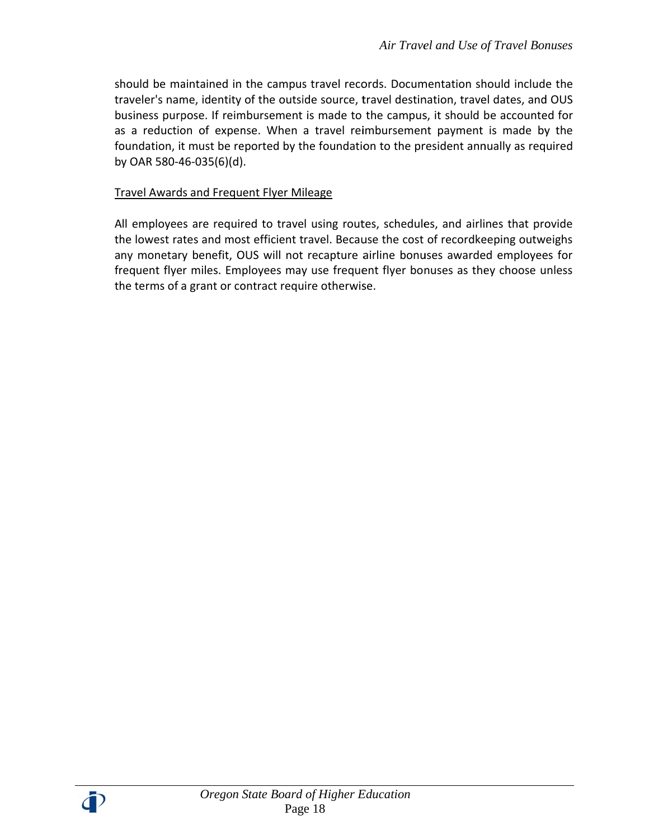should be maintained in the campus travel records. Documentation should include the traveler's name, identity of the outside source, travel destination, travel dates, and OUS business purpose. If reimbursement is made to the campus, it should be accounted for as a reduction of expense. When a travel reimbursement payment is made by the foundation, it must be reported by the foundation to the president annually as required by OAR 580-46-035(6)(d).

#### Travel Awards and Frequent Flyer Mileage

All employees are required to travel using routes, schedules, and airlines that provide the lowest rates and most efficient travel. Because the cost of recordkeeping outweighs any monetary benefit, OUS will not recapture airline bonuses awarded employees for frequent flyer miles. Employees may use frequent flyer bonuses as they choose unless the terms of a grant or contract require otherwise.

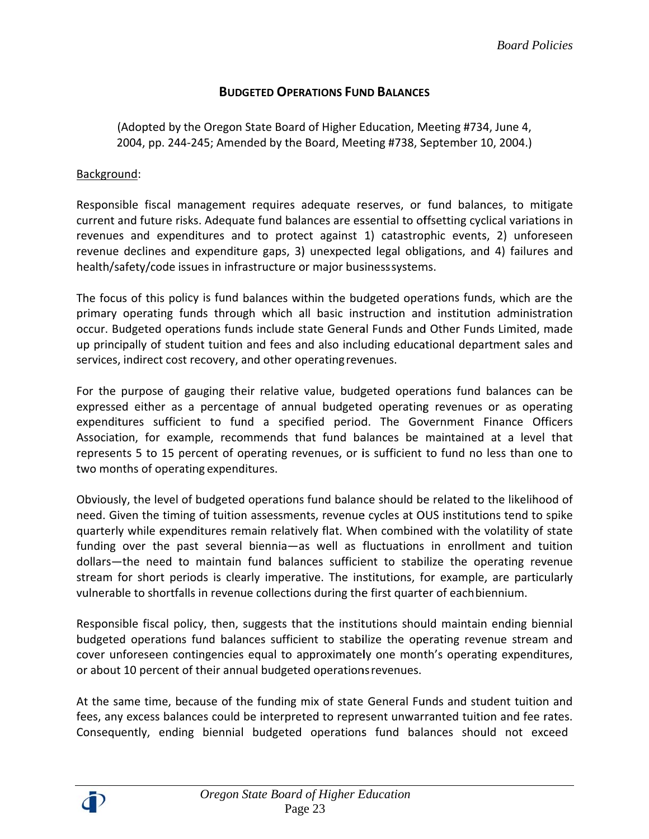### **BUDGETED OPERATIONS FUND BALANCES**

(Adopted by the Oregon State Board of Higher Education, Meeting #734, June 4, 2004, pp. 244-245; Amended by the Board, Meeting #738, September 10, 2004.)

#### Background:

Responsible fiscal management requires adequate reserves, or fund balances, to mitigate current and future risks. Adequate fund balances are essential to offsetting cyclical variations in revenues and expenditures and to protect against 1) catastrophic events, 2) unforeseen revenue declines and expenditure gaps, 3) unexpected legal obligations, and 4) failures and health/safety/code issues in infrastructure or major business systems.

The focus of this policy is fund balances within the budgeted operations funds, which are the primary operating funds through which all basic instruction and institution administration occur. Budgeted operations funds include state General Funds and Other Funds Limited, made up principally of student tuition and fees and also including educational department sales and services, indirect cost recovery, and other operating revenues.

For the purpose of gauging their relative value, budgeted operations fund balances can be expressed either as a percentage of annual budgeted operating revenues or as operating expenditures sufficient to fund a specified period. The Government Finance Officers Association, for example, recommends that fund balances be maintained at a level that represents 5 to 15 percent of operating revenues, or is sufficient to fund no less than one to two months of operating expenditures.

Obviously, the level of budgeted operations fund balance should be related to the likelihood of need. Given the timing of tuition assessments, revenue cycles at OUS institutions tend to spike quarterly while expenditures remain relatively flat. When combined with the volatility of state funding over the past several biennia—as well as fluctuations in enrollment and tuition dollars—the need to maintain fund balances sufficient to stabilize the operating revenue stream for short periods is clearly imperative. The institutions, for example, are particularly vulnerable to shortfalls in revenue collections during the first quarter of eachbiennium.

Responsible fiscal policy, then, suggests that the institutions should maintain ending biennial budgeted operations fund balances sufficient to stabilize the operating revenue stream and cover unforeseen contingencies equal to approximately one month's operating expenditures, or about 10 percent of their annual budgeted operations revenues.

At the same time, because of the funding mix of state General Funds and student tuition and fees, any excess balances could be interpreted to represent unwarranted tuition and fee rates. Consequently, ending biennial budgeted operations fund balances should not exceed

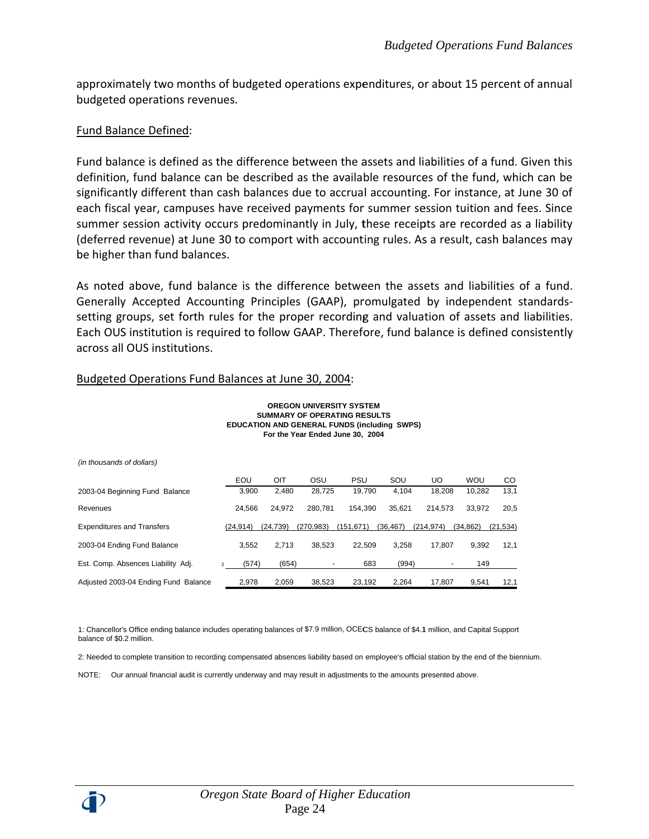approximately two months of budgeted operations expenditures, or about 15 percent of annual budgeted operations revenues.

#### Fund Balance Defined:

Fund balance is defined as the difference between the assets and liabilities of a fund. Given this definition, fund balance can be described as the available resources of the fund, which can be significantly different than cash balances due to accrual accounting. For instance, at June 30 of each fiscal year, campuses have received payments for summer session tuition and fees. Since summer session activity occurs predominantly in July, these receipts are recorded as a liability (deferred revenue) at June 30 to comport with accounting rules. As a result, cash balances may be higher than fund balances.

As noted above, fund balance is the difference between the assets and liabilities of a fund. Generally Accepted Accounting Principles (GAAP), promulgated by independent standardssetting groups, set forth rules for the proper recording and valuation of assets and liabilities. Each OUS institution is required to follow GAAP. Therefore, fund balance is defined consistently across all OUS institutions.

#### Budgeted Operations Fund Balances at June 30, 2004:

#### OREGON UNIVERSITY SYSTEM SUMMARY OF OPERATING RESULTS EDUCATION AND GENERAL FUNDS (including SWPS) For the Year Ended June 30, 2004

| (in thousands of dollars)            |          |          |           |            |          |           |            |           |
|--------------------------------------|----------|----------|-----------|------------|----------|-----------|------------|-----------|
|                                      | EOU      | OIT      | OSU       | <b>PSU</b> | SOU      | UO        | <b>WOU</b> | CO.       |
| 2003-04 Beginning Fund Balance       | 3,900    | 2,480    | 28.725    | 19.790     | 4.104    | 18.208    | 10.282     | 13,1      |
| Revenues                             | 24.566   | 24.972   | 280.781   | 154.390    | 35.621   | 214.573   | 33.972     | 20.5      |
| <b>Expenditures and Transfers</b>    | (24.914) | (24.739) | (270.983) | (151.671)  | (36.467) | (214.974) | (34.862)   | (21, 534) |
| 2003-04 Ending Fund Balance          | 3.552    | 2.713    | 38.523    | 22.509     | 3.258    | 17.807    | 9.392      | 12,1      |
| Est. Comp. Absences Liability Adj.   | (574)    | (654)    |           | 683        | (994)    |           | 149        |           |
| Adjusted 2003-04 Ending Fund Balance | 2.978    | 2,059    | 38.523    | 23.192     | 2.264    | 17.807    | 9.541      | 12,1      |

1: Chancellor's Office ending balance includes operating balances of \$7.9 million, OCECS balance of \$4.1 million, and Capital Support balance of \$0.2 million

2: Needed to complete transition to recording compensated absences liability based on employee's official station by the end of the biennium.

NOTE: Our annual financial audit is currently underway and may result in adjustments to the amounts presented above.

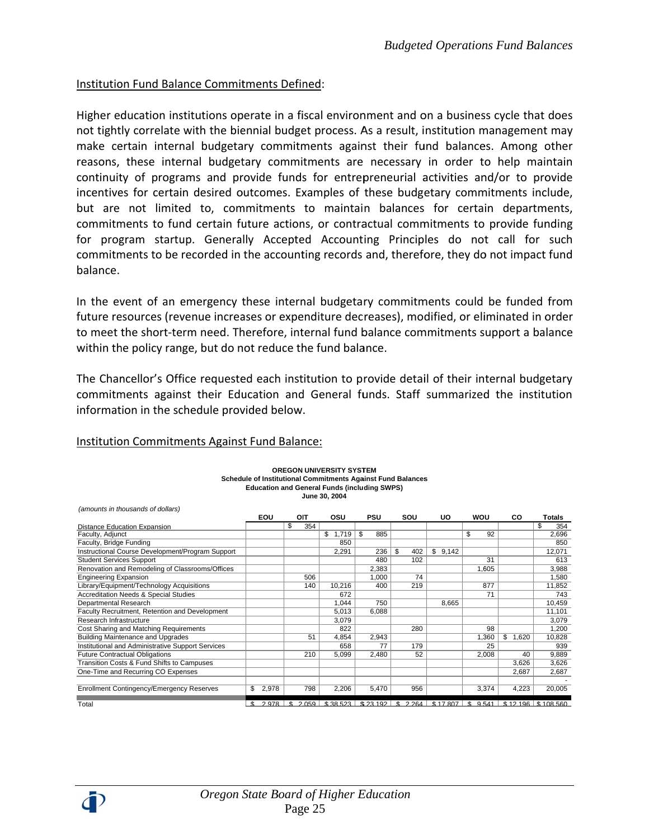CO

**Totals** 

#### Institution Fund Balance Commitments Defined:

Higher education institutions operate in a fiscal environment and on a business cycle that does not tightly correlate with the biennial budget process. As a result, institution management may make certain internal budgetary commitments against their fund balances. Among other reasons, these internal budgetary commitments are necessary in order to help maintain continuity of programs and provide funds for entrepreneurial activities and/or to provide incentives for certain desired outcomes. Examples of these budgetary commitments include, but are not limited to, commitments to maintain balances for certain departments, commitments to fund certain future actions, or contractual commitments to provide funding for program startup. Generally Accepted Accounting Principles do not call for such commitments to be recorded in the accounting records and, therefore, they do not impact fund halance.

In the event of an emergency these internal budgetary commitments could be funded from future resources (revenue increases or expenditure decreases), modified, or eliminated in order to meet the short-term need. Therefore, internal fund balance commitments support a balance within the policy range, but do not reduce the fund balance.

The Chancellor's Office requested each institution to provide detail of their internal budgetary commitments against their Education and General funds. Staff summarized the institution information in the schedule provided below.

#### **OREGON UNIVERSITY SYSTEM Schedule of Institutional Commitments Against Fund Balances Education and General Funds (including SWPS)** June 30, 2004 (amounts in thousands of dollars) OIT EOU osu **PSU** SOU **UO** WOU

#### Institution Commitments Against Fund Balance:

| <b>Distance Education Expansion</b>               |             | \$<br>354 |             |                    |           |             |          |         | \$<br>354              |
|---------------------------------------------------|-------------|-----------|-------------|--------------------|-----------|-------------|----------|---------|------------------------|
| Faculty, Adjunct                                  |             |           | 1.719<br>\$ | \$<br>885          |           |             | \$<br>92 |         | 2,696                  |
| Faculty, Bridge Funding                           |             |           | 850         |                    |           |             |          |         | 850                    |
| Instructional Course Development/Program Support  |             |           | 2,291       | 236                | \$<br>402 | \$<br>9,142 |          |         | 12,071                 |
| <b>Student Services Support</b>                   |             |           |             | 480                | 102       |             | 31       |         | 613                    |
| Renovation and Remodeling of Classrooms/Offices   |             |           |             | 2,383              |           |             | 1.605    |         | 3,988                  |
| <b>Engineering Expansion</b>                      |             | 506       |             | 1.000              | 74        |             |          |         | 1,580                  |
| Library/Equipment/Technology Acquisitions         |             | 140       | 10.216      | 400                | 219       |             | 877      |         | 11,852                 |
| <b>Accreditation Needs &amp; Special Studies</b>  |             |           | 672         |                    |           |             | 71       |         | 743                    |
| Departmental Research                             |             |           | 1.044       | 750                |           | 8,665       |          |         | 10,459                 |
| Faculty Recruitment, Retention and Development    |             |           | 5,013       | 6,088              |           |             |          |         | 11,101                 |
| Research Infrastructure                           |             |           | 3,079       |                    |           |             |          |         | 3,079                  |
| Cost Sharing and Matching Requirements            |             |           | 822         |                    | 280       |             | 98       |         | 1,200                  |
| <b>Building Maintenance and Upgrades</b>          |             | 51        | 4,854       | 2,943              |           |             | ,360     | \$1,620 | 10,828                 |
| Institutional and Administrative Support Services |             |           | 658         | 77                 | 179       |             | 25       |         | 939                    |
| <b>Future Contractual Obligations</b>             |             | 210       | 5.099       | 2.480              | 52        |             | 2.008    | 40      | 9,889                  |
| Transition Costs & Fund Shifts to Campuses        |             |           |             |                    |           |             |          | 3,626   | 3,626                  |
| One-Time and Recurring CO Expenses                |             |           |             |                    |           |             |          | 2.687   | 2.687                  |
|                                                   |             |           |             |                    |           |             |          |         |                        |
| <b>Enrollment Contingency/Emergency Reserves</b>  | \$<br>2,978 | 798       | 2,206       | 5,470              | 956       |             | 3,374    | 4,223   | 20,005                 |
|                                                   |             |           |             |                    |           |             |          |         |                        |
| Total                                             | 2.978       | 2.059     | \$38,523    | $$23192$ \ \$ 2264 |           | \$17807     | \$9541   |         | $$12,196$ \ $$108,560$ |

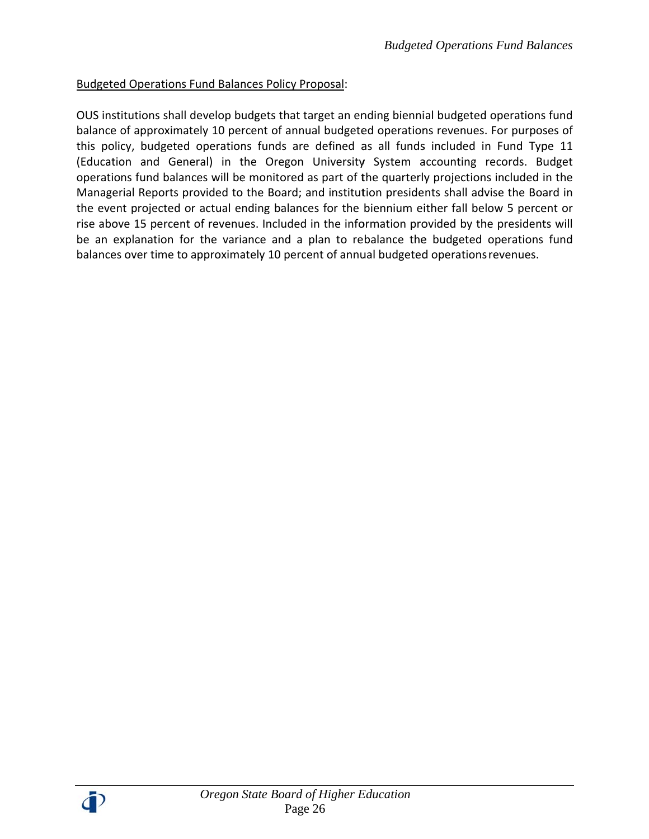#### **Budgeted Operations Fund Balances Policy Proposal:**

OUS institutions shall develop budgets that target an ending biennial budgeted operations fund balance of approximately 10 percent of annual budgeted operations revenues. For purposes of this policy, budgeted operations funds are defined as all funds included in Fund Type 11 (Education and General) in the Oregon University System accounting records. Budget operations fund balances will be monitored as part of the quarterly projections included in the Managerial Reports provided to the Board; and institution presidents shall advise the Board in the event projected or actual ending balances for the biennium either fall below 5 percent or rise above 15 percent of revenues. Included in the information provided by the presidents will be an explanation for the variance and a plan to rebalance the budgeted operations fund balances over time to approximately 10 percent of annual budgeted operations revenues.

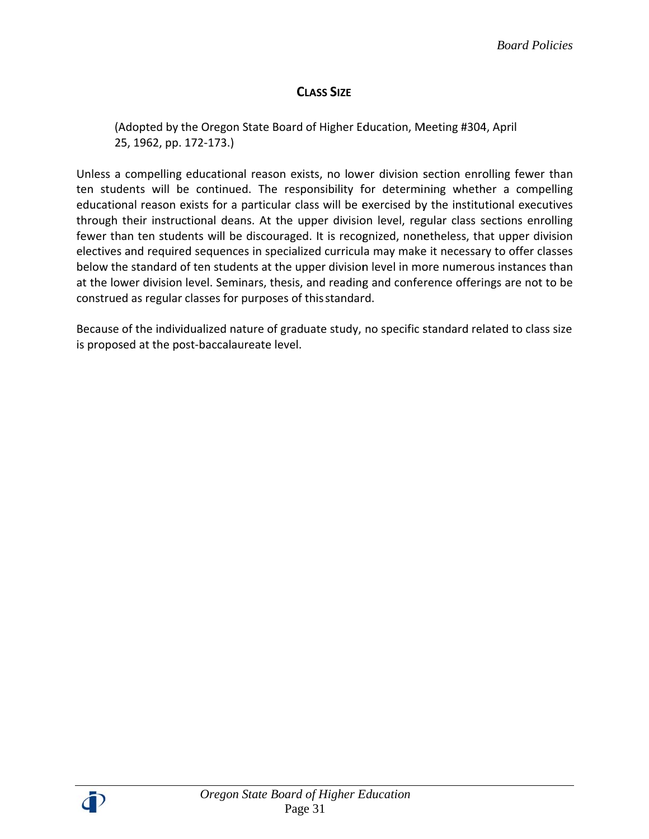## **CLASS SIZE**

(Adopted by the Oregon State Board of Higher Education, Meeting #304, April 25, 1962, pp. 172-173.)

Unless a compelling educational reason exists, no lower division section enrolling fewer than ten students will be continued. The responsibility for determining whether a compelling educational reason exists for a particular class will be exercised by the institutional executives through their instructional deans. At the upper division level, regular class sections enrolling fewer than ten students will be discouraged. It is recognized, nonetheless, that upper division electives and required sequences in specialized curricula may make it necessary to offer classes below the standard of ten students at the upper division level in more numerous instances than at the lower division level. Seminars, thesis, and reading and conference offerings are not to be construed as regular classes for purposes of this standard.

Because of the individualized nature of graduate study, no specific standard related to class size is proposed at the post-baccalaureate level.

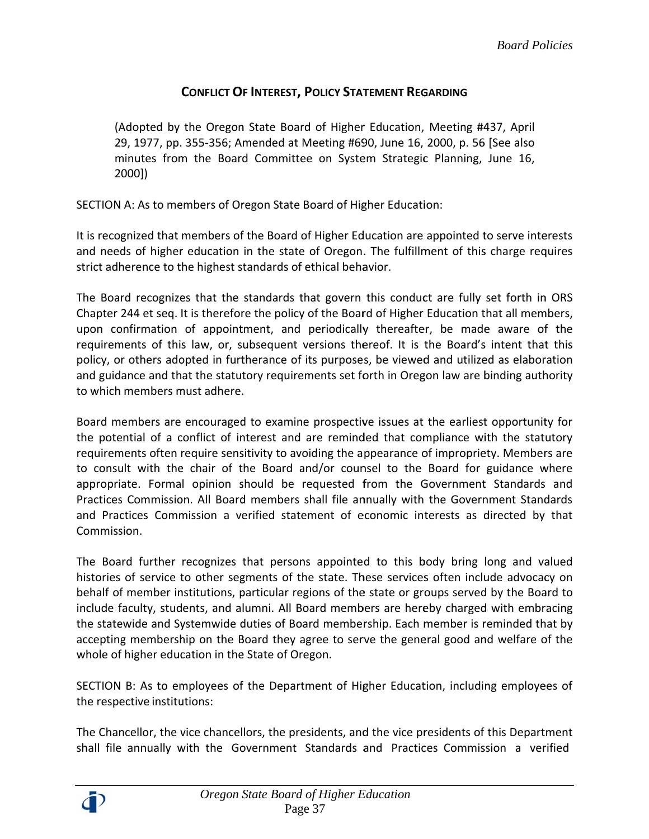#### **CONFLICT OF INTEREST, POLICY STATEMENT REGARDING**

(Adopted by the Oregon State Board of Higher Education, Meeting #437, April 29, 1977, pp. 355-356; Amended at Meeting #690, June 16, 2000, p. 56 [See also minutes from the Board Committee on System Strategic Planning, June 16, 2000])

SECTION A: As to members of Oregon State Board of Higher Education:

It is recognized that members of the Board of Higher Education are appointed to serve interests and needs of higher education in the state of Oregon. The fulfillment of this charge requires strict adherence to the highest standards of ethical behavior.

The Board recognizes that the standards that govern this conduct are fully set forth in ORS Chapter 244 et seq. It is therefore the policy of the Board of Higher Education that all members, upon confirmation of appointment, and periodically thereafter, be made aware of the requirements of this law, or, subsequent versions thereof. It is the Board's intent that this policy, or others adopted in furtherance of its purposes, be viewed and utilized as elaboration and guidance and that the statutory requirements set forth in Oregon law are binding authority to which members must adhere.

Board members are encouraged to examine prospective issues at the earliest opportunity for the potential of a conflict of interest and are reminded that compliance with the statutory requirements often require sensitivity to avoiding the appearance of impropriety. Members are to consult with the chair of the Board and/or counsel to the Board for guidance where appropriate. Formal opinion should be requested from the Government Standards and Practices Commission. All Board members shall file annually with the Government Standards and Practices Commission a verified statement of economic interests as directed by that Commission.

The Board further recognizes that persons appointed to this body bring long and valued histories of service to other segments of the state. These services often include advocacy on behalf of member institutions, particular regions of the state or groups served by the Board to include faculty, students, and alumni. All Board members are hereby charged with embracing the statewide and Systemwide duties of Board membership. Each member is reminded that by accepting membership on the Board they agree to serve the general good and welfare of the whole of higher education in the State of Oregon.

SECTION B: As to employees of the Department of Higher Education, including employees of the respective institutions:

The Chancellor, the vice chancellors, the presidents, and the vice presidents of this Department shall file annually with the Government Standards and Practices Commission a verified

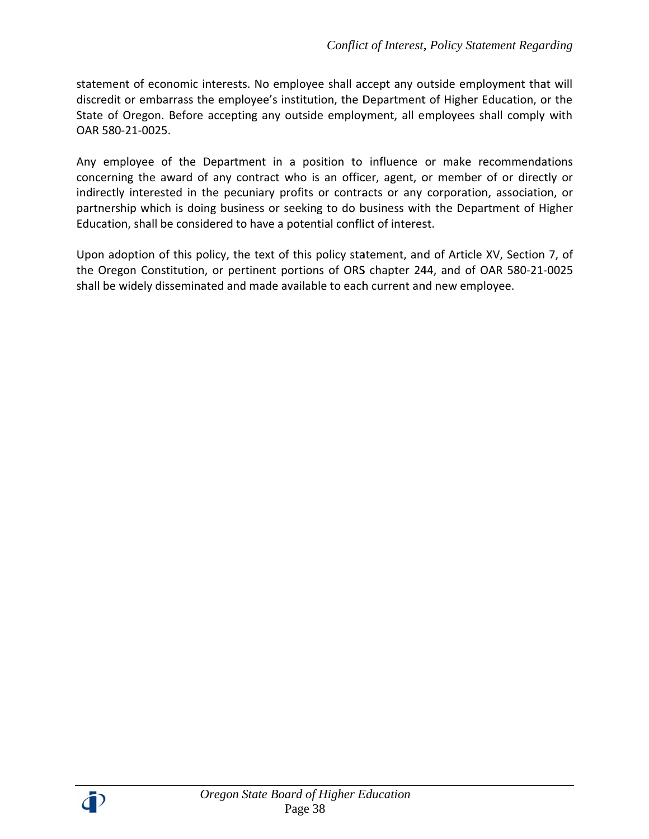statement of economic interests. No employee shall accept any outside employment that will discredit or embarrass the employee's institution, the Department of Higher Education, or the State of Oregon. Before accepting any outside employment, all employees shall comply with OAR 580 ‐21‐0025.

Any employee of the Department in a position to influence or make recommendations concerning the award of any contract who is an officer, agent, or member of or directly or indirectly interested in the pecuniary profits or contracts or any corporation, association, or partnership which is doing business or seeking to do business with the Department of Higher Education, shall be considered to have a potential conflict of interest.

Upon adoption of this policy, the text of this policy statement, and of Article XV, Section 7, of the Oregon Constitution, or pertinent portions of ORS chapter 244, and of OAR 580-21-0025 shall be widely disseminated and made available to each current and new employee.

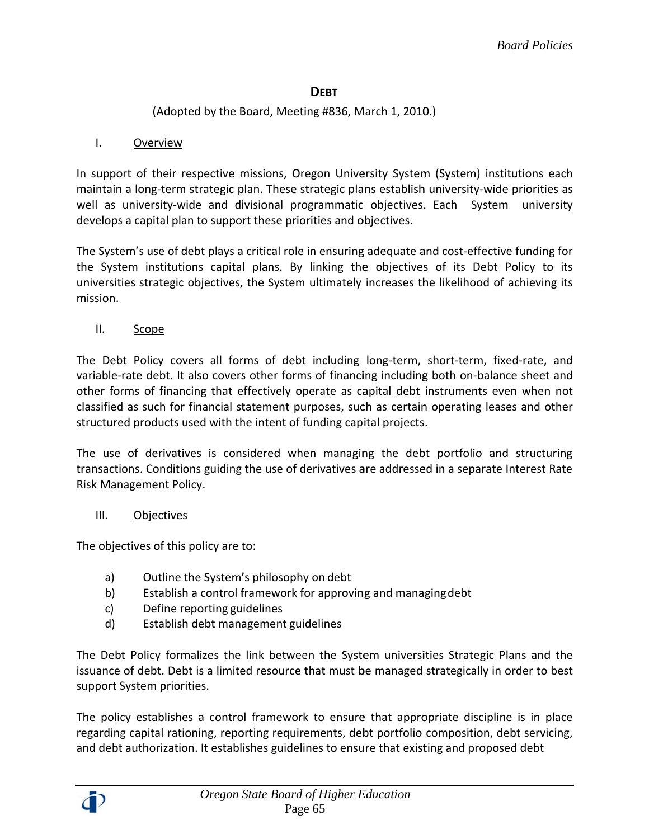#### **DEBT**

(Adopted by the Board, Meeting #836, March 1, 2010.)

#### $\mathsf{L}$ Overview

In support of their respective missions, Oregon University System (System) institutions each maintain a long-term strategic plan. These strategic plans establish university-wide priorities as well as university-wide and divisional programmatic objectives. Each System university develops a capital plan to support these priorities and objectives.

The System's use of debt plays a critical role in ensuring adequate and cost-effective funding for the System institutions capital plans. By linking the objectives of its Debt Policy to its universities strategic objectives, the System ultimately increases the likelihood of achieving its mission.

 $II.$ Scope

The Debt Policy covers all forms of debt including long-term, short-term, fixed-rate, and variable-rate debt. It also covers other forms of financing including both on-balance sheet and other forms of financing that effectively operate as capital debt instruments even when not classified as such for financial statement purposes, such as certain operating leases and other structured products used with the intent of funding capital projects.

The use of derivatives is considered when managing the debt portfolio and structuring transactions. Conditions guiding the use of derivatives are addressed in a separate Interest Rate Risk Management Policy.

#### $III.$ **Objectives**

The objectives of this policy are to:

- Outline the System's philosophy on debt a)
- b) Establish a control framework for approving and managing debt
- $\mathsf{C}$ Define reporting guidelines
- $\mathsf{d}$ Establish debt management guidelines

The Debt Policy formalizes the link between the System universities Strategic Plans and the issuance of debt. Debt is a limited resource that must be managed strategically in order to best support System priorities.

The policy establishes a control framework to ensure that appropriate discipline is in place regarding capital rationing, reporting requirements, debt portfolio composition, debt servicing, and debt authorization. It establishes guidelines to ensure that existing and proposed debt

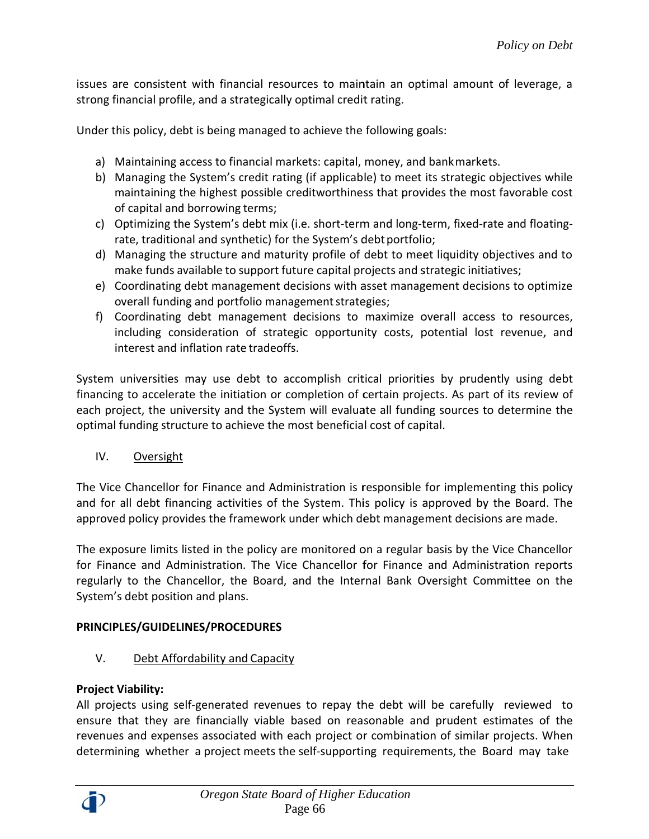issues are consistent with financial resources to maintain an optimal amount of leverage, a strong financial profile, and a strategically optimal credit rating.

Under this policy, debt is being managed to achieve the following goals:

- a) Maintaining access to financial markets: capital, money, and bank markets.
- b) Managing the System's credit rating (if applicable) to meet its strategic objectives while maintaining the highest possible creditworthiness that provides the most favorable cost of capital and borrowing terms;
- c) Optimizing the System's debt mix (i.e. short-term and long-term, fixed-rate and floatingrate, traditional and synthetic) for the System's debt portfolio;
- d) Managing the structure and maturity profile of debt to meet liquidity objectives and to make funds available to support future capital projects and strategic initiatives;
- e) Coordinating debt management decisions with asset management decisions to optimize overall funding and portfolio management strategies;
- f) Coordinating debt management decisions to maximize overall access to resources, including consideration of strategic opportunity costs, potential lost revenue, and interest and inflation rate tradeoffs.

System universities may use debt to accomplish critical priorities by prudently using debt financing to accelerate the initiation or completion of certain projects. As part of its review of each project, the university and the System will evaluate all funding sources to determine the optimal funding structure to achieve the most beneficial cost of capital.

IV. Oversight

The Vice Chancellor for Finance and Administration is responsible for implementing this policy and for all debt financing activities of the System. This policy is approved by the Board. The approved policy provides the framework under which debt management decisions are made.

The exposure limits listed in the policy are monitored on a regular basis by the Vice Chancellor for Finance and Administration. The Vice Chancellor for Finance and Administration reports regularly to the Chancellor, the Board, and the Internal Bank Oversight Committee on the System's debt position and plans.

### PRINCIPLES/GUIDELINES/PROCEDURES

V. Debt Affordability and Capacity

#### **Project Viability:**

All projects using self-generated revenues to repay the debt will be carefully reviewed to ensure that they are financially viable based on reasonable and prudent estimates of the revenues and expenses associated with each project or combination of similar projects. When determining whether a project meets the self-supporting requirements, the Board may take

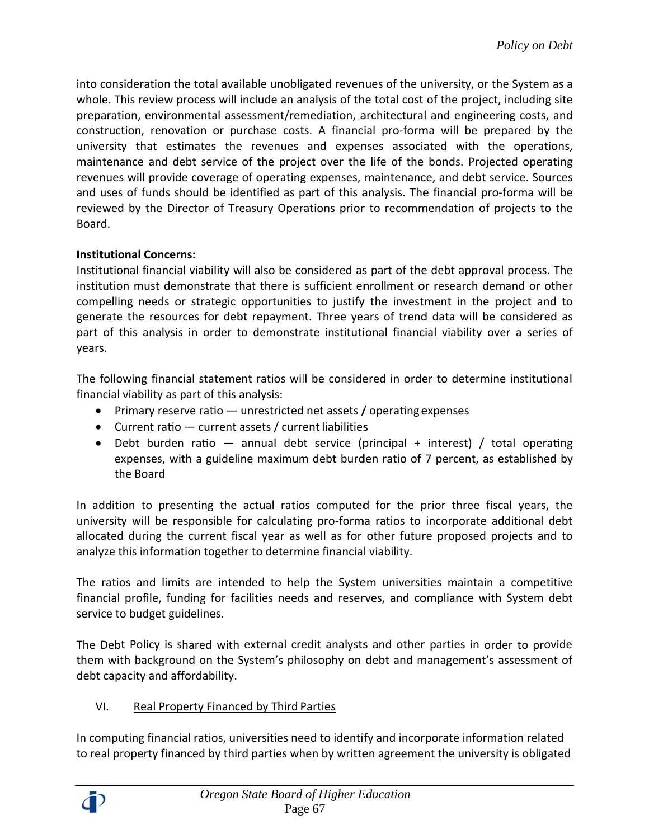into consideration the total available unobligated revenues of the university, or the System as a whole. This review process will include an analysis of the total cost of the project, including site preparation, environmental assessment/remediation, architectural and engineering costs, and construction, renovation or purchase costs. A financial pro-forma will be prepared by the university that estimates the revenues and expenses associated with the operations, maintenance and debt service of the project over the life of the bonds. Projected operating revenues will provide coverage of operating expenses, maintenance, and debt service. Sources and uses of funds should be identified as part of this analysis. The financial pro-forma will be reviewed by the Director of Treasury Operations prior to recommendation of projects to the Board.

#### **Institutional Concerns:**

Institutional financial viability will also be considered as part of the debt approval process. The institution must demonstrate that there is sufficient enrollment or research demand or other compelling needs or strategic opportunities to justify the investment in the project and to generate the resources for debt repayment. Three years of trend data will be considered as part of this analysis in order to demonstrate institutional financial viability over a series of years.

The following financial statement ratios will be considered in order to determine institutional financial viability as part of this analysis:

- Primary reserve ratio  $-$  unrestricted net assets / operating expenses
- Current ratio current assets / current liabilities
- Debt burden ratio  $-$  annual debt service (principal + interest) / total operating expenses, with a guideline maximum debt burden ratio of 7 percent, as established by the Board

In addition to presenting the actual ratios computed for the prior three fiscal years, the university will be responsible for calculating pro-forma ratios to incorporate additional debt allocated during the current fiscal year as well as for other future proposed projects and to analyze this information together to determine financial viability.

The ratios and limits are intended to help the System universities maintain a competitive financial profile, funding for facilities needs and reserves, and compliance with System debt service to budget guidelines.

The Debt Policy is shared with external credit analysts and other parties in order to provide them with background on the System's philosophy on debt and management's assessment of debt capacity and affordability.

#### VI. **Real Property Financed by Third Parties**

In computing financial ratios, universities need to identify and incorporate information related to real property financed by third parties when by written agreement the university is obligated

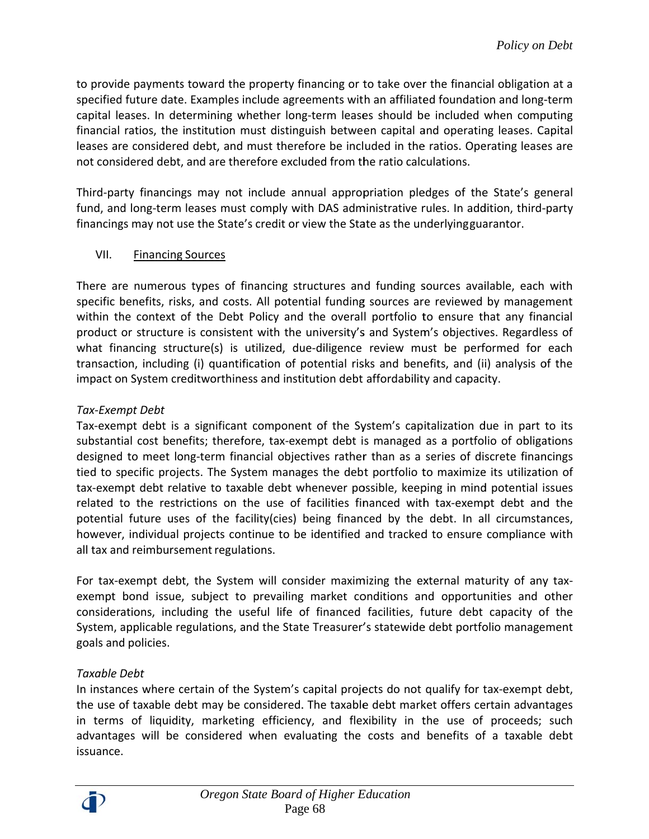to provide payments toward the property financing or to take over the financial obligation at a specified future date. Examples include agreements with an affiliated foundation and long-term capital leases. In determining whether long-term leases should be included when computing financial ratios, the institution must distinguish between capital and operating leases. Capital leases are considered debt, and must therefore be included in the ratios. Operating leases are not considered debt, and are therefore excluded from the ratio calculations.

Third-party financings may not include annual appropriation pledges of the State's general fund, and long-term leases must comply with DAS administrative rules. In addition, third-party financings may not use the State's credit or view the State as the underlying guarantor.

#### VII. **Financing Sources**

There are numerous types of financing structures and funding sources available, each with specific benefits, risks, and costs. All potential funding sources are reviewed by management within the context of the Debt Policy and the overall portfolio to ensure that any financial product or structure is consistent with the university's and System's objectives. Regardless of what financing structure(s) is utilized, due-diligence review must be performed for each transaction, including (i) quantification of potential risks and benefits, and (ii) analysis of the impact on System creditworthiness and institution debt affordability and capacity.

#### Tax-Exempt Debt

Tax-exempt debt is a significant component of the System's capitalization due in part to its substantial cost benefits; therefore, tax-exempt debt is managed as a portfolio of obligations designed to meet long-term financial objectives rather than as a series of discrete financings tied to specific projects. The System manages the debt portfolio to maximize its utilization of tax-exempt debt relative to taxable debt whenever possible, keeping in mind potential issues related to the restrictions on the use of facilities financed with tax-exempt debt and the potential future uses of the facility (cies) being financed by the debt. In all circumstances, however, individual projects continue to be identified and tracked to ensure compliance with all tax and reimbursement regulations.

For tax-exempt debt, the System will consider maximizing the external maturity of any taxexempt bond issue, subject to prevailing market conditions and opportunities and other considerations, including the useful life of financed facilities, future debt capacity of the System, applicable regulations, and the State Treasurer's statewide debt portfolio management goals and policies.

#### Taxable Debt

In instances where certain of the System's capital projects do not qualify for tax-exempt debt, the use of taxable debt may be considered. The taxable debt market offers certain advantages in terms of liquidity, marketing efficiency, and flexibility in the use of proceeds; such advantages will be considered when evaluating the costs and benefits of a taxable debt issuance.

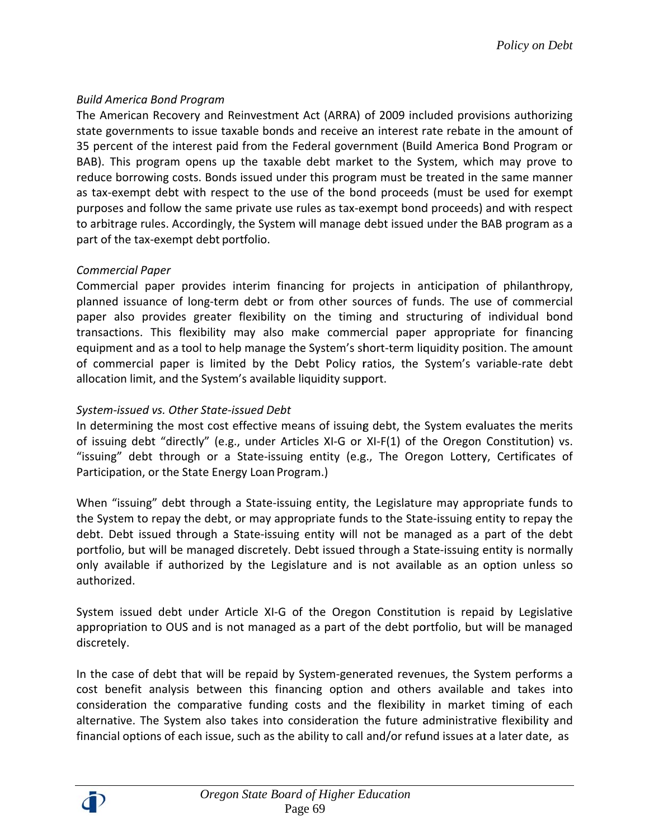#### **Build America Bond Program**

The American Recovery and Reinvestment Act (ARRA) of 2009 included provisions authorizing state governments to issue taxable bonds and receive an interest rate rebate in the amount of 35 percent of the interest paid from the Federal government (Build America Bond Program or BAB). This program opens up the taxable debt market to the System, which may prove to reduce borrowing costs. Bonds issued under this program must be treated in the same manner as tax-exempt debt with respect to the use of the bond proceeds (must be used for exempt purposes and follow the same private use rules as tax-exempt bond proceeds) and with respect to arbitrage rules. Accordingly, the System will manage debt issued under the BAB program as a part of the tax-exempt debt portfolio.

#### **Commercial Paper**

Commercial paper provides interim financing for projects in anticipation of philanthropy, planned issuance of long-term debt or from other sources of funds. The use of commercial paper also provides greater flexibility on the timing and structuring of individual bond transactions. This flexibility may also make commercial paper appropriate for financing equipment and as a tool to help manage the System's short-term liquidity position. The amount of commercial paper is limited by the Debt Policy ratios, the System's variable-rate debt allocation limit, and the System's available liquidity support.

### System-issued vs. Other State-issued Debt

In determining the most cost effective means of issuing debt, the System evaluates the merits of issuing debt "directly" (e.g., under Articles XI-G or XI-F(1) of the Oregon Constitution) vs. "issuing" debt through or a State-issuing entity (e.g., The Oregon Lottery, Certificates of Participation, or the State Energy Loan Program.)

When "issuing" debt through a State-issuing entity, the Legislature may appropriate funds to the System to repay the debt, or may appropriate funds to the State-issuing entity to repay the debt. Debt issued through a State-issuing entity will not be managed as a part of the debt portfolio, but will be managed discretely. Debt issued through a State-issuing entity is normally only available if authorized by the Legislature and is not available as an option unless so authorized.

System issued debt under Article XI-G of the Oregon Constitution is repaid by Legislative appropriation to OUS and is not managed as a part of the debt portfolio, but will be managed discretely.

In the case of debt that will be repaid by System-generated revenues, the System performs a cost benefit analysis between this financing option and others available and takes into consideration the comparative funding costs and the flexibility in market timing of each alternative. The System also takes into consideration the future administrative flexibility and financial options of each issue, such as the ability to call and/or refund issues at a later date, as

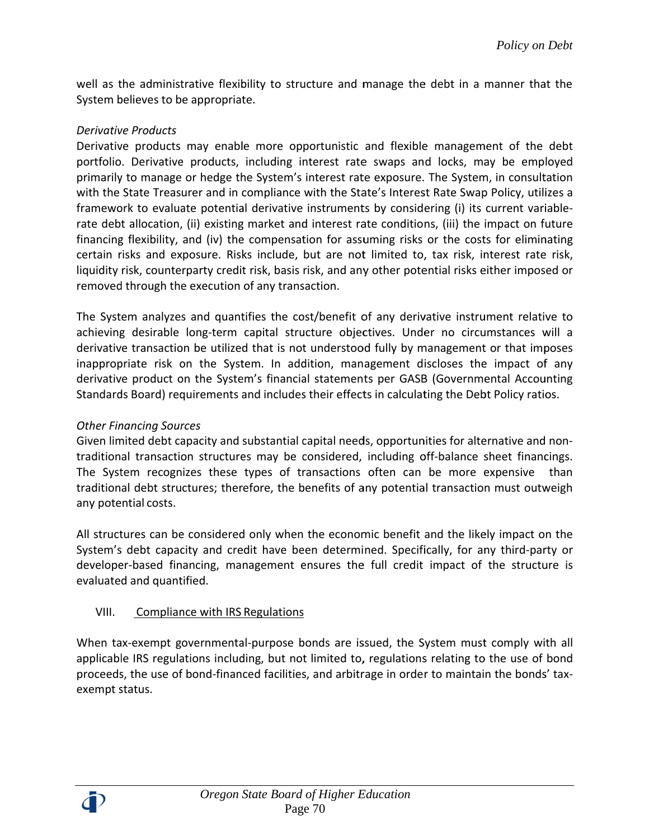well as the administrative flexibility to structure and manage the debt in a manner that the System believes to be appropriate.

#### **Derivative Products**

Derivative products may enable more opportunistic and flexible management of the debt portfolio. Derivative products, including interest rate swaps and locks, may be employed primarily to manage or hedge the System's interest rate exposure. The System, in consultation with the State Treasurer and in compliance with the State's Interest Rate Swap Policy, utilizes a framework to evaluate potential derivative instruments by considering (i) its current variablerate debt allocation, (ii) existing market and interest rate conditions, (iii) the impact on future financing flexibility, and (iv) the compensation for assuming risks or the costs for eliminating certain risks and exposure. Risks include, but are not limited to, tax risk, interest rate risk, liquidity risk, counterparty credit risk, basis risk, and any other potential risks either imposed or removed through the execution of any transaction.

The System analyzes and quantifies the cost/benefit of any derivative instrument relative to achieving desirable long-term capital structure objectives. Under no circumstances will a derivative transaction be utilized that is not understood fully by management or that imposes inappropriate risk on the System. In addition, management discloses the impact of any derivative product on the System's financial statements per GASB (Governmental Accounting Standards Board) requirements and includes their effects in calculating the Debt Policy ratios.

#### **Other Financing Sources**

Given limited debt capacity and substantial capital needs, opportunities for alternative and nontraditional transaction structures may be considered, including off-balance sheet financings. The System recognizes these types of transactions often can be more expensive than traditional debt structures; therefore, the benefits of any potential transaction must outweigh any potential costs.

All structures can be considered only when the economic benefit and the likely impact on the System's debt capacity and credit have been determined. Specifically, for any third-party or developer-based financing, management ensures the full credit impact of the structure is evaluated and quantified.

#### VIII. Compliance with IRS Regulations

When tax-exempt governmental-purpose bonds are issued, the System must comply with all applicable IRS regulations including, but not limited to, regulations relating to the use of bond proceeds, the use of bond-financed facilities, and arbitrage in order to maintain the bonds' taxexempt status.

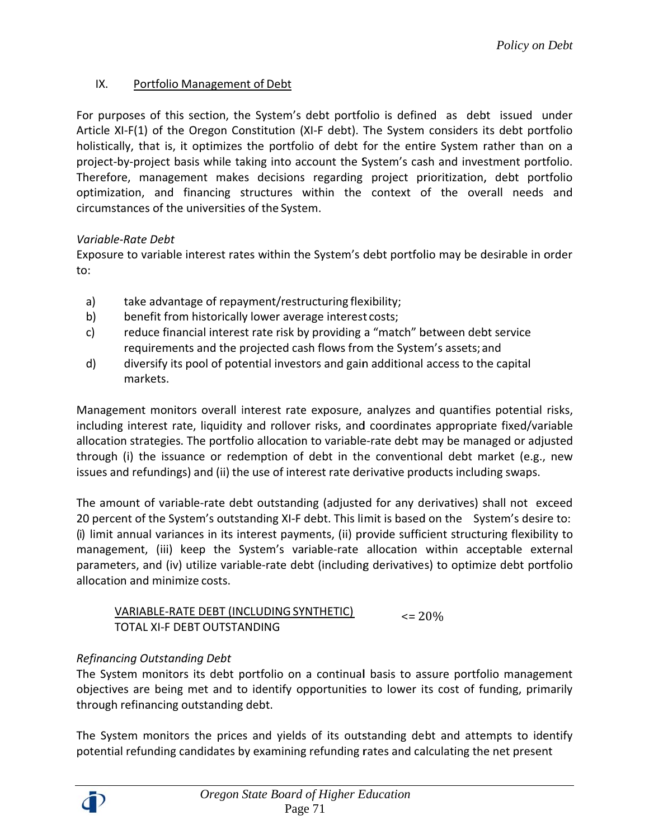#### IX. Portfolio Management of Debt

For purposes of this section, the System's debt portfolio is defined as debt issued under Article XI-F(1) of the Oregon Constitution (XI-F debt). The System considers its debt portfolio holistically, that is, it optimizes the portfolio of debt for the entire System rather than on a project-by-project basis while taking into account the System's cash and investment portfolio. Therefore, management makes decisions regarding project prioritization, debt portfolio optimization, and financing structures within the context of the overall needs and circumstances of the universities of the System.

#### Variable-Rate Debt

Exposure to variable interest rates within the System's debt portfolio may be desirable in order to:

- a) take advantage of repayment/restructuring flexibility;
- b) benefit from historically lower average interest costs;
- reduce financial interest rate risk by providing a "match" between debt service c) requirements and the projected cash flows from the System's assets; and
- d) diversify its pool of potential investors and gain additional access to the capital markets.

Management monitors overall interest rate exposure, analyzes and quantifies potential risks, including interest rate, liquidity and rollover risks, and coordinates appropriate fixed/variable allocation strategies. The portfolio allocation to variable-rate debt may be managed or adjusted through (i) the issuance or redemption of debt in the conventional debt market (e.g., new issues and refundings) and (ii) the use of interest rate derivative products including swaps.

The amount of variable-rate debt outstanding (adjusted for any derivatives) shall not exceed 20 percent of the System's outstanding XI-F debt. This limit is based on the System's desire to: (i) limit annual variances in its interest payments, (ii) provide sufficient structuring flexibility to management, (iii) keep the System's variable-rate allocation within acceptable external parameters, and (iv) utilize variable-rate debt (including derivatives) to optimize debt portfolio allocation and minimize costs.

#### VARIABLE-RATE DEBT (INCLUDING SYNTHETIC)  $\epsilon$  = 20% TOTAL XI-F DEBT OUTSTANDING

### **Refinancing Outstanding Debt**

The System monitors its debt portfolio on a continual basis to assure portfolio management objectives are being met and to identify opportunities to lower its cost of funding, primarily through refinancing outstanding debt.

The System monitors the prices and yields of its outstanding debt and attempts to identify potential refunding candidates by examining refunding rates and calculating the net present

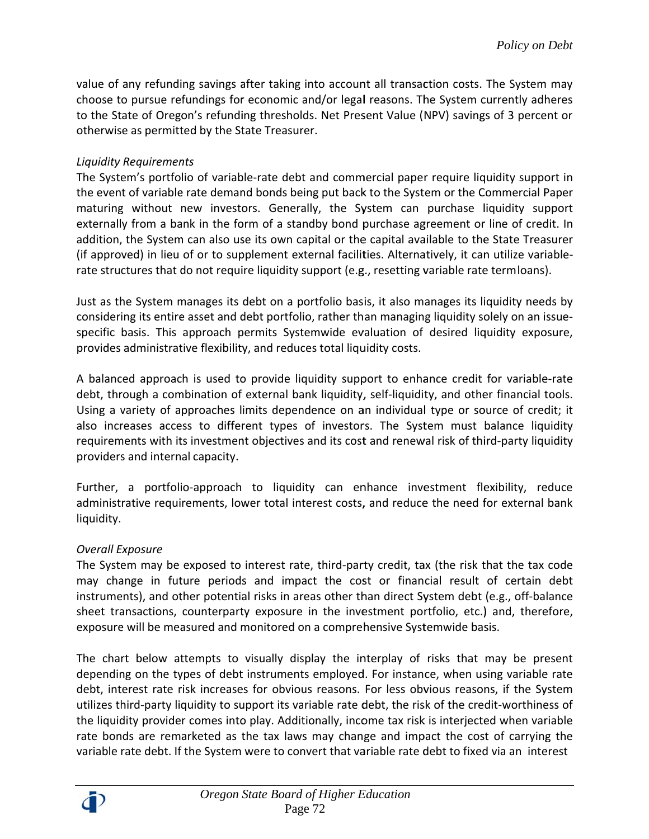value of any refunding savings after taking into account all transaction costs. The System may choose to pursue refundings for economic and/or legal reasons. The System currently adheres to the State of Oregon's refunding thresholds. Net Present Value (NPV) savings of 3 percent or otherwise as permitted by the State Treasurer.

#### **Liquidity Requirements**

The System's portfolio of variable-rate debt and commercial paper require liquidity support in the event of variable rate demand bonds being put back to the System or the Commercial Paper maturing without new investors. Generally, the System can purchase liquidity support externally from a bank in the form of a standby bond purchase agreement or line of credit. In addition, the System can also use its own capital or the capital available to the State Treasurer (if approved) in lieu of or to supplement external facilities. Alternatively, it can utilize variablerate structures that do not require liquidity support (e.g., resetting variable rate term loans).

Just as the System manages its debt on a portfolio basis, it also manages its liquidity needs by considering its entire asset and debt portfolio, rather than managing liquidity solely on an issuespecific basis. This approach permits Systemwide evaluation of desired liquidity exposure, provides administrative flexibility, and reduces total liquidity costs.

A balanced approach is used to provide liquidity support to enhance credit for variable-rate debt, through a combination of external bank liquidity, self-liquidity, and other financial tools. Using a variety of approaches limits dependence on an individual type or source of credit; it also increases access to different types of investors. The System must balance liquidity requirements with its investment objectives and its cost and renewal risk of third-party liquidity providers and internal capacity.

Further, a portfolio-approach to liquidity can enhance investment flexibility, reduce administrative requirements, lower total interest costs, and reduce the need for external bank liquidity.

#### **Overall Exposure**

The System may be exposed to interest rate, third-party credit, tax (the risk that the tax code may change in future periods and impact the cost or financial result of certain debt instruments), and other potential risks in areas other than direct System debt (e.g., off-balance sheet transactions, counterparty exposure in the investment portfolio, etc.) and, therefore, exposure will be measured and monitored on a comprehensive Systemwide basis.

The chart below attempts to visually display the interplay of risks that may be present depending on the types of debt instruments employed. For instance, when using variable rate debt, interest rate risk increases for obvious reasons. For less obvious reasons, if the System utilizes third-party liquidity to support its variable rate debt, the risk of the credit-worthiness of the liquidity provider comes into play. Additionally, income tax risk is interjected when variable rate bonds are remarketed as the tax laws may change and impact the cost of carrying the variable rate debt. If the System were to convert that variable rate debt to fixed via an interest

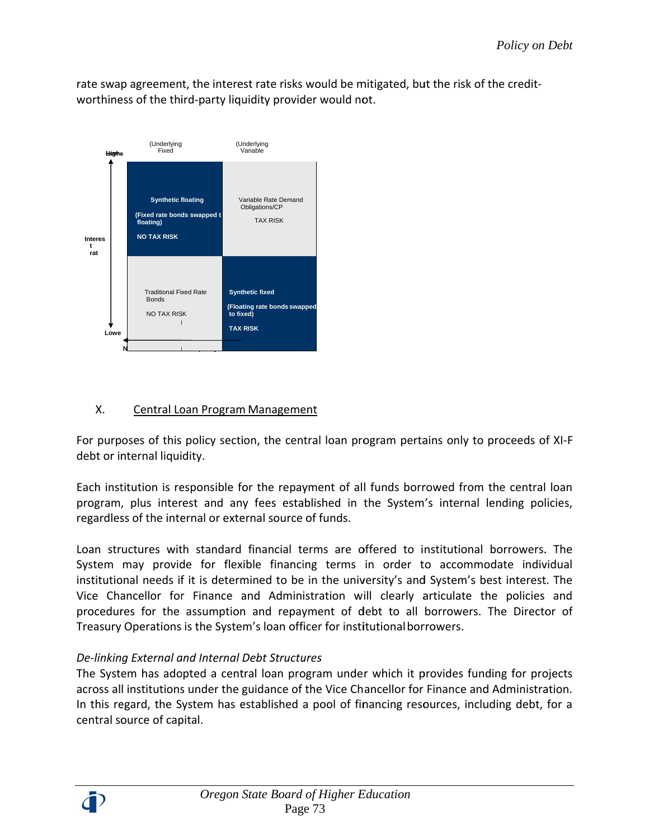rate swap agreement, the interest rate risks would be mitigated, but the risk of the creditworthiness of the third-party liquidity provider would not.



#### Χ. Central Loan Program Management

For purposes of this policy section, the central loan program pertains only to proceeds of XI-F debt or internal liquidity.

Each institution is responsible for the repayment of all funds borrowed from the central loan program, plus interest and any fees established in the System's internal lending policies, regardless of the internal or external source of funds.

Loan structures with standard financial terms are offered to institutional borrowers. The System may provide for flexible financing terms in order to accommodate individual institutional needs if it is determined to be in the university's and System's best interest. The Vice Chancellor for Finance and Administration will clearly articulate the policies and procedures for the assumption and repayment of debt to all borrowers. The Director of Treasury Operations is the System's loan officer for institutional borrowers.

#### De-linking External and Internal Debt Structures

The System has adopted a central loan program under which it provides funding for projects across all institutions under the guidance of the Vice Chancellor for Finance and Administration. In this regard, the System has established a pool of financing resources, including debt, for a central source of capital.

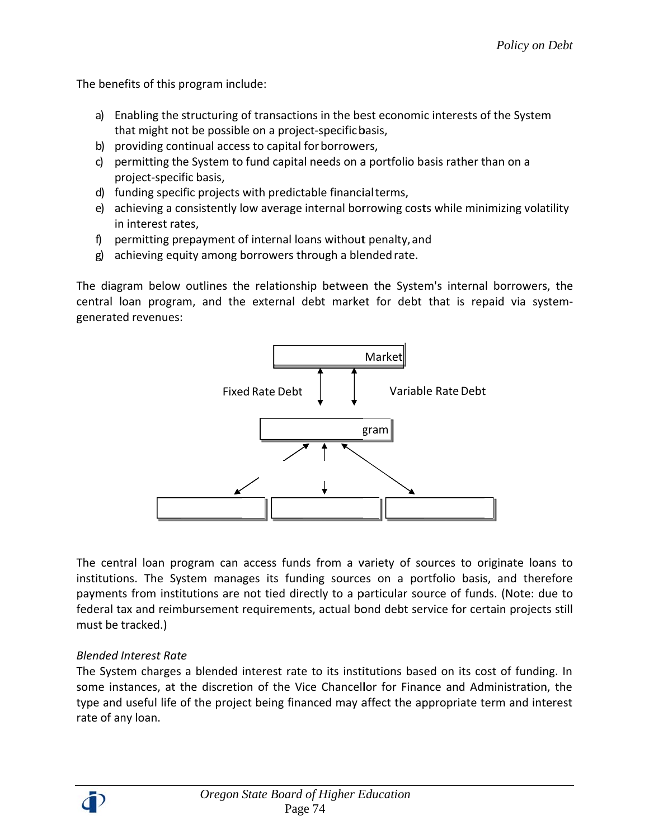The benefits of this program include:

- a) Enabling the structuring of transactions in the best economic interests of the System that might not be possible on a project-specific basis,
- b) providing continual access to capital for borrowers,
- c) permitting the System to fund capital needs on a portfolio basis rather than on a project-specific basis,
- d) funding specific projects with predictable financial terms,
- e) achieving a consistently low average internal borrowing costs while minimizing volatility in interest rates.
- f) permitting prepayment of internal loans without penalty, and
- g) achieving equity among borrowers through a blended rate.

The diagram below outlines the relationship between the System's internal borrowers, the central loan program, and the external debt market for debt that is repaid via systemgenerated revenues:



The central loan program can access funds from a variety of sources to originate loans to institutions. The System manages its funding sources on a portfolio basis, and therefore payments from institutions are not tied directly to a particular source of funds. (Note: due to federal tax and reimbursement requirements, actual bond debt service for certain projects still must be tracked.)

### **Blended Interest Rate**

The System charges a blended interest rate to its institutions based on its cost of funding. In some instances, at the discretion of the Vice Chancellor for Finance and Administration, the type and useful life of the project being financed may affect the appropriate term and interest rate of any loan.

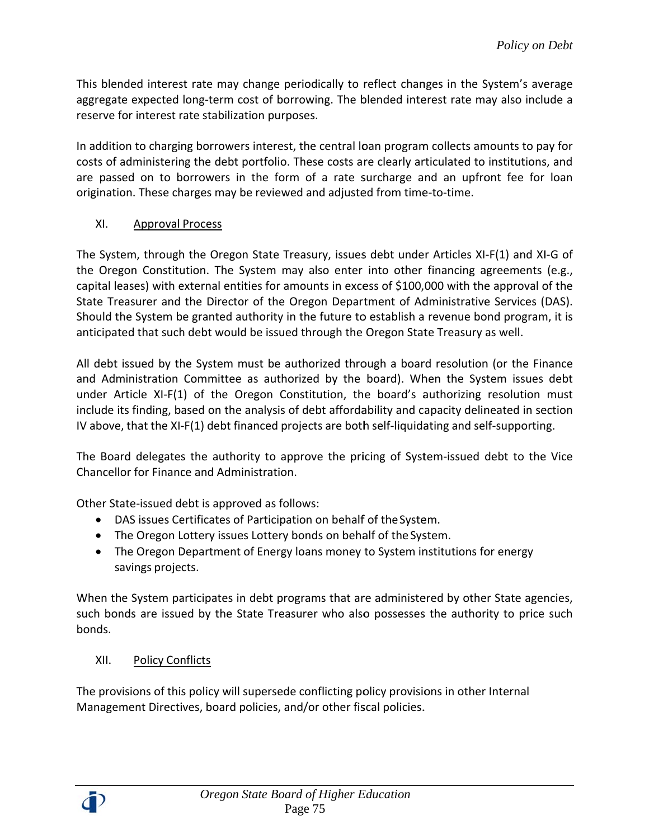This blended interest rate may change periodically to reflect changes in the System's average aggregate expected long-term cost of borrowing. The blended interest rate may also include a reserve for interest rate stabilization purposes.

In addition to charging borrowers interest, the central loan program collects amounts to pay for costs of administering the debt portfolio. These costs are clearly articulated to institutions, and are passed on to borrowers in the form of a rate surcharge and an upfront fee for loan origination. These charges may be reviewed and adjusted from time-to-time.

#### $XL$ **Approval Process**

The System, through the Oregon State Treasury, issues debt under Articles XI-F(1) and XI-G of the Oregon Constitution. The System may also enter into other financing agreements (e.g., capital leases) with external entities for amounts in excess of \$100,000 with the approval of the State Treasurer and the Director of the Oregon Department of Administrative Services (DAS). Should the System be granted authority in the future to establish a revenue bond program, it is anticipated that such debt would be issued through the Oregon State Treasury as well.

All debt issued by the System must be authorized through a board resolution (or the Finance and Administration Committee as authorized by the board). When the System issues debt under Article XI-F(1) of the Oregon Constitution, the board's authorizing resolution must include its finding, based on the analysis of debt affordability and capacity delineated in section IV above, that the XI-F(1) debt financed projects are both self-liquidating and self-supporting.

The Board delegates the authority to approve the pricing of System-issued debt to the Vice Chancellor for Finance and Administration.

Other State-issued debt is approved as follows:

- DAS issues Certificates of Participation on behalf of the System.
- The Oregon Lottery issues Lottery bonds on behalf of the System.
- The Oregon Department of Energy loans money to System institutions for energy savings projects.

When the System participates in debt programs that are administered by other State agencies, such bonds are issued by the State Treasurer who also possesses the authority to price such bonds.

#### XII. **Policy Conflicts**

The provisions of this policy will supersede conflicting policy provisions in other Internal Management Directives, board policies, and/or other fiscal policies.

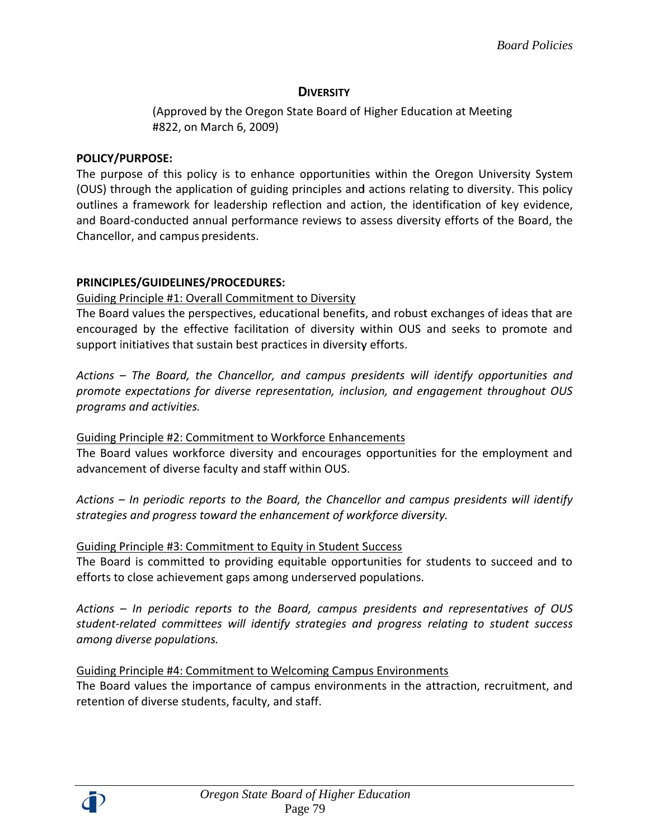#### **DIVERSITY**

(Approved by the Oregon State Board of Higher Education at Meeting #822, on March 6, 2009)

#### **POLICY/PURPOSE:**

The purpose of this policy is to enhance opportunities within the Oregon University System (OUS) through the application of guiding principles and actions relating to diversity. This policy outlines a framework for leadership reflection and action, the identification of key evidence, and Board-conducted annual performance reviews to assess diversity efforts of the Board, the Chancellor, and campus presidents.

#### PRINCIPLES/GUIDELINES/PROCEDURES:

Guiding Principle #1: Overall Commitment to Diversity

The Board values the perspectives, educational benefits, and robust exchanges of ideas that are encouraged by the effective facilitation of diversity within OUS and seeks to promote and support initiatives that sustain best practices in diversity efforts.

Actions – The Board, the Chancellor, and campus presidents will identify opportunities and promote expectations for diverse representation, inclusion, and engagement throughout OUS programs and activities.

Guiding Principle #2: Commitment to Workforce Enhancements

The Board values workforce diversity and encourages opportunities for the employment and advancement of diverse faculty and staff within OUS.

Actions – In periodic reports to the Board, the Chancellor and campus presidents will identify strategies and progress toward the enhancement of workforce diversity.

#### Guiding Principle #3: Commitment to Equity in Student Success

The Board is committed to providing equitable opportunities for students to succeed and to efforts to close achievement gaps among underserved populations.

Actions – In periodic reports to the Board, campus presidents and representatives of OUS student-related committees will identify strategies and progress relating to student success among diverse populations.

#### Guiding Principle #4: Commitment to Welcoming Campus Environments

The Board values the importance of campus environments in the attraction, recruitment, and retention of diverse students, faculty, and staff.

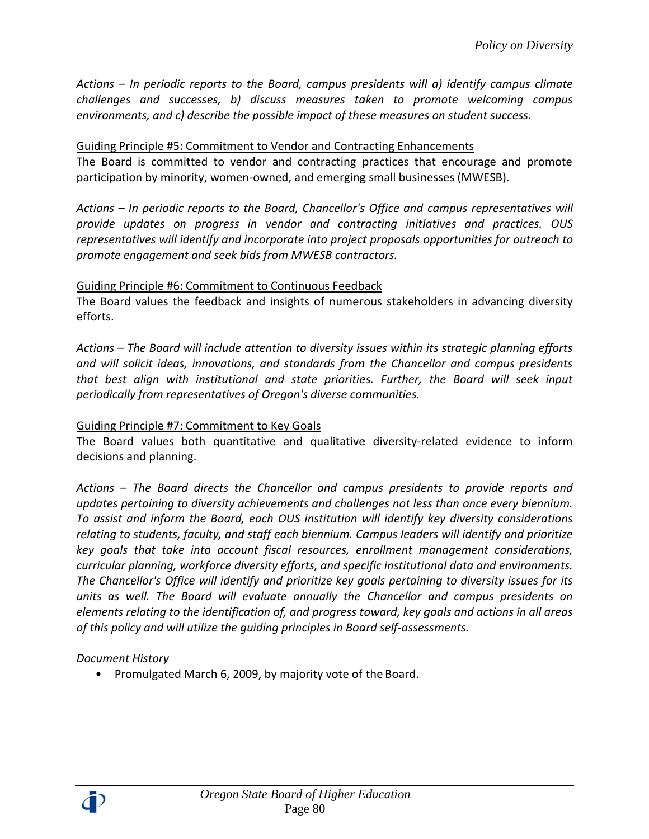Actions – In periodic reports to the Board, campus presidents will a) identify campus climate challenges and successes, b) discuss measures taken to promote welcoming campus environments, and c) describe the possible impact of these measures on student success.

#### Guiding Principle #5: Commitment to Vendor and Contracting Enhancements

The Board is committed to vendor and contracting practices that encourage and promote participation by minority, women-owned, and emerging small businesses (MWESB).

Actions – In periodic reports to the Board, Chancellor's Office and campus representatives will provide updates on progress in vendor and contracting initiatives and practices. OUS representatives will identify and incorporate into project proposals opportunities for outreach to promote engagement and seek bids from MWESB contractors.

#### Guiding Principle #6: Commitment to Continuous Feedback

The Board values the feedback and insights of numerous stakeholders in advancing diversity efforts.

Actions – The Board will include attention to diversity issues within its strategic planning efforts and will solicit ideas, innovations, and standards from the Chancellor and campus presidents that best align with institutional and state priorities. Further, the Board will seek input periodically from representatives of Oregon's diverse communities.

#### Guiding Principle #7: Commitment to Key Goals

The Board values both quantitative and qualitative diversity-related evidence to inform decisions and planning.

Actions – The Board directs the Chancellor and campus presidents to provide reports and updates pertaining to diversity achievements and challenges not less than once every biennium. To assist and inform the Board, each OUS institution will identify key diversity considerations relating to students, faculty, and staff each biennium. Campus leaders will identify and prioritize key goals that take into account fiscal resources, enrollment management considerations, curricular planning, workforce diversity efforts, and specific institutional data and environments. The Chancellor's Office will identify and prioritize key goals pertaining to diversity issues for its units as well. The Board will evaluate annually the Chancellor and campus presidents on elements relating to the identification of, and progress toward, key goals and actions in all areas of this policy and will utilize the guiding principles in Board self-assessments.

#### Document History

• Promulgated March 6, 2009, by majority vote of the Board.

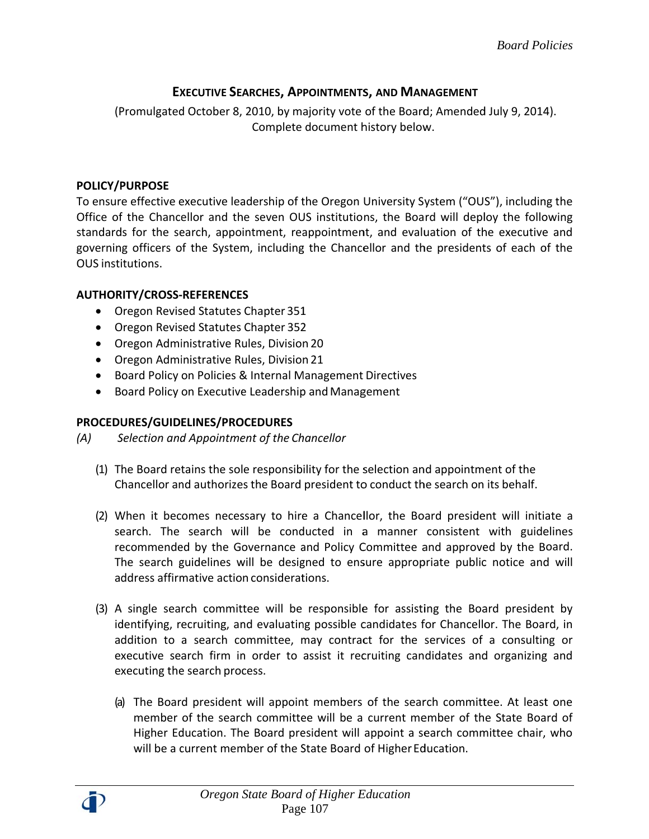### **EXECUTIVE SEARCHES, APPOINTMENTS, AND MANAGEMENT**

(Promulgated October 8, 2010, by majority vote of the Board; Amended July 9, 2014). Complete document history below.

#### **POLICY/PURPOSE**

To ensure effective executive leadership of the Oregon University System ("OUS"), including the Office of the Chancellor and the seven OUS institutions, the Board will deploy the following standards for the search, appointment, reappointment, and evaluation of the executive and governing officers of the System, including the Chancellor and the presidents of each of the OUS institutions.

#### **AUTHORITY/CROSS-REFERENCES**

- Oregon Revised Statutes Chapter 351
- Oregon Revised Statutes Chapter 352
- Oregon Administrative Rules, Division 20
- Oregon Administrative Rules, Division 21
- Board Policy on Policies & Internal Management Directives
- Board Policy on Executive Leadership and Management

#### PROCEDURES/GUIDELINES/PROCEDURES

 $(A)$ Selection and Appointment of the Chancellor

- (1) The Board retains the sole responsibility for the selection and appointment of the Chancellor and authorizes the Board president to conduct the search on its behalf.
- (2) When it becomes necessary to hire a Chancellor, the Board president will initiate a search. The search will be conducted in a manner consistent with guidelines recommended by the Governance and Policy Committee and approved by the Board. The search guidelines will be designed to ensure appropriate public notice and will address affirmative action considerations.
- (3) A single search committee will be responsible for assisting the Board president by identifying, recruiting, and evaluating possible candidates for Chancellor. The Board, in addition to a search committee, may contract for the services of a consulting or executive search firm in order to assist it recruiting candidates and organizing and executing the search process.
	- (a) The Board president will appoint members of the search committee. At least one member of the search committee will be a current member of the State Board of Higher Education. The Board president will appoint a search committee chair, who will be a current member of the State Board of Higher Education.

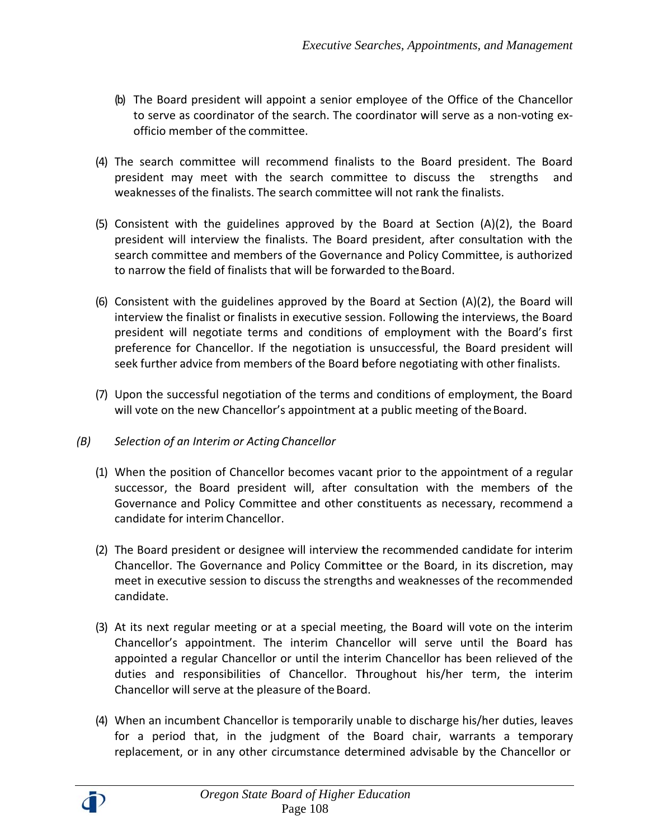- (b) The Board president will appoint a senior employee of the Office of the Chancellor to serve as coordinator of the search. The coordinator will serve as a non-voting exofficio member of the committee.
- (4) The search committee will recommend finalists to the Board president. The Board president may meet with the search committee to discuss the strengths weaknesses of the finalists. The search committee will not rank the finalists. and
- (5) C onsistent w with the gui delines app proved by t he Board a at Section (A A)(2), the B Board president will interview the finalists. The Board president, after consultation with the search committee and members of the Governance and Policy Committee, is authorized to narrow the field of finalists that will be forwarded to the Board.
- (6) Consistent with the guidelines approved by the Board at Section (A)(2), the Board will interview the finalist or finalists in executive session. Following the interviews, the Board president will negotiate terms and conditions of employment with the Board's first preference for Chancellor. If the negotiation is unsuccessful, the Board president will seek further advice from members of the Board before negotiating with other finalists.
- (7) Upon the successful negotiation of the terms and conditions of employment, the Board will vote on the new Chancellor's appointment at a public meeting of the Board.
- *(B) Se election of a an Interim or r Acting Chan ncellor*
	- (1) When the position of Chancellor becomes vacant prior to the appointment of a regular successor, the Board president will, after consultation with the members of the Governance and Policy Committee and other constituents as necessary, recommend a candidate for interim Chancellor.
	- (2) The Board president or designee will interview the recommended candidate for interim Chancellor. The Governance and Policy Committee or the Board, in its discretion, may meet in executive session to discuss the strengths and weaknesses of the recommended ca andidate.
	- (3) At its next regular meeting or at a special meeting, the Board will vote on the interim Chancellor's appointment. The interim Chancellor will serve until the Board has appointed a regular Chancellor or until the interim Chancellor has been relieved of the duties and responsibilities of Chancellor. Throughout his/her term, the interim Chancellor will serve at the pleasure of the Board.
	- (4) When an incumbent Chancellor is temporarily unable to discharge his/her duties, leaves for a period that, in the judgment of the Board chair, warrants a temporary replacement, or in any other circumstance determined advisable by the Chancellor or

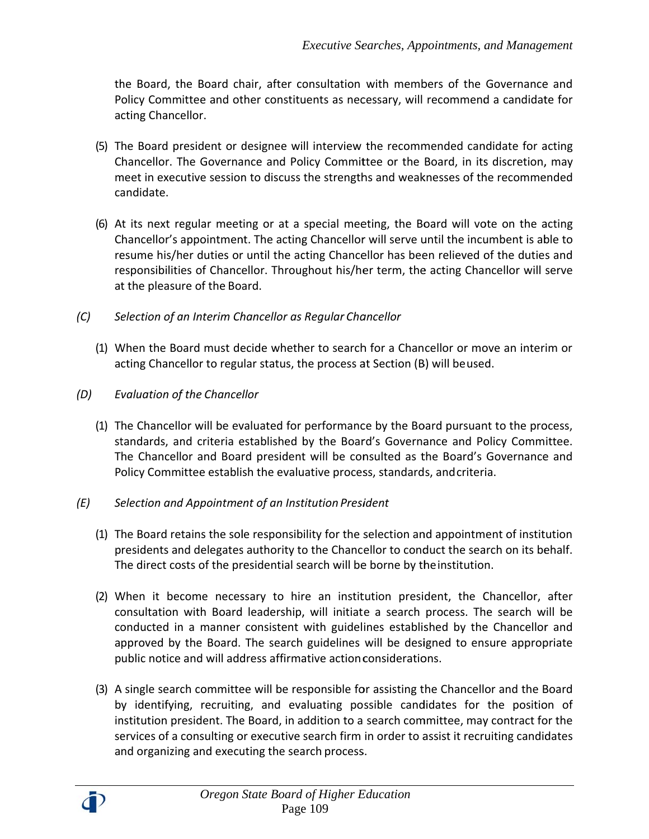the Board, the Board chair, after consultation with members of the Governance and Policy Committee and other constituents as necessary, will recommend a candidate for acting Chancellor.

- (5) The Board president or designee will interview the recommended candidate for acting Chancellor. The Governance and Policy Committee or the Board, in its discretion, may meet in executive session to discuss the strengths and weaknesses of the recommended candidate.
- (6) At its next regular meeting or at a special meeting, the Board will vote on the acting Chancellor's appointment. The acting Chancellor will serve until the incumbent is able to resume his/her duties or until the acting Chancellor has been relieved of the duties and responsibilities of Chancellor. Throughout his/her term, the acting Chancellor will serve at the pleasure of the Board.
- $(C)$ Selection of an Interim Chancellor as Regular Chancellor
	- (1) When the Board must decide whether to search for a Chancellor or move an interim or acting Chancellor to regular status, the process at Section (B) will beused.
- $(D)$ **Evaluation of the Chancellor** 
	- (1) The Chancellor will be evaluated for performance by the Board pursuant to the process, standards, and criteria established by the Board's Governance and Policy Committee. The Chancellor and Board president will be consulted as the Board's Governance and Policy Committee establish the evaluative process, standards, and criteria.
- $(E)$ Selection and Appointment of an Institution President
	- (1) The Board retains the sole responsibility for the selection and appointment of institution presidents and delegates authority to the Chancellor to conduct the search on its behalf. The direct costs of the presidential search will be borne by the institution.
	- (2) When it become necessary to hire an institution president, the Chancellor, after consultation with Board leadership, will initiate a search process. The search will be conducted in a manner consistent with guidelines established by the Chancellor and approved by the Board. The search guidelines will be designed to ensure appropriate public notice and will address affirmative action considerations.
	- (3) A single search committee will be responsible for assisting the Chancellor and the Board by identifying, recruiting, and evaluating possible candidates for the position of institution president. The Board, in addition to a search committee, may contract for the services of a consulting or executive search firm in order to assist it recruiting candidates and organizing and executing the search process.

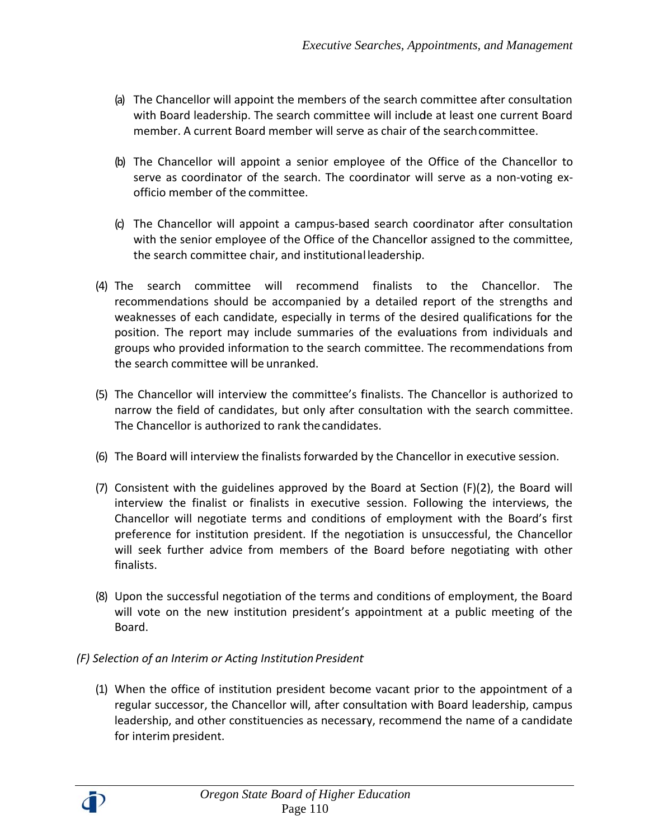- (a) The Chancellor will appoint the members of the search committee after consultation with Board leadership. The search committee will include at least one current Board member. A current Board member will serve as chair of the search committee.
- (b) The Chancellor will appoint a senior employee of the Office of the Chancellor to serve as coordinator of the search. The coordinator will serve as a non-voting exofficio member of the committee.
- (c) The Chancellor will appoint a campus-based search coordinator after consultation with the senior employee of the Office of the Chancellor assigned to the committee, the search committee chair, and institutional leadership.
- (4) The search committee will recommend finalists to the Chancellor. The recommendations should be accompanied by a detailed report of the strengths and weaknesses of each candidate, especially in terms of the desired qualifications for the position. The report may include summaries of the evaluations from individuals and groups who provided information to the search committee. The recommendations from the search committee will be unranked.
- (5) The Chancellor will interview the committee's finalists. The Chancellor is authorized to narrow the field of candidates, but only after consultation with the search committee. The Chancellor is authorized to rank the candidates.
- (6) The Board will interview the finalists forwarded by the Chancellor in executive session.
- (7) Consistent with the guidelines approved by the Board at Section (F)(2), the Board will interview the finalist or finalists in executive session. Following the interviews, the Chancellor will negotiate terms and conditions of employment with the Board's first preference for institution president. If the negotiation is unsuccessful, the Chancellor will seek further advice from members of the Board before negotiating with other fi nalists.
- (8) Upon the successful negotiation of the terms and conditions of employment, the Board will vote on the new institution president's appointment at a public meeting of the B oard.

### *(F) Select tion of an Int terim or Act ing Institutio on President t*

(1) When the office of institution president become vacant prior to the appointment of a regular successor, the Chancellor will, after consultation with Board leadership, campus leadership, and other constituencies as necessary, recommend the name of a candidate for interim president.

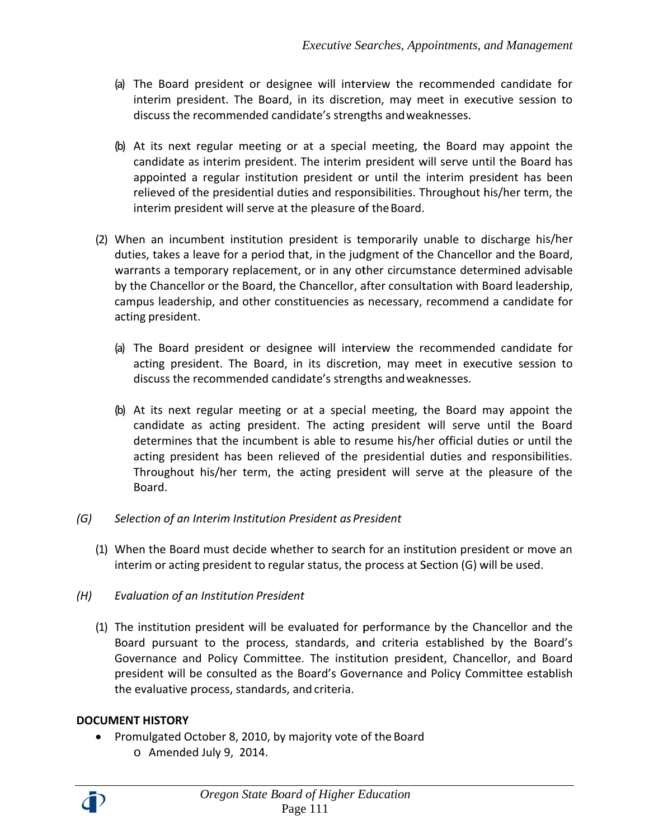- (a) The Board president or designee will interview the recommended candidate for interim president. The Board, in its discretion, may meet in executive session to discuss the recommended candidate's strengths and weaknesses.
- (b) At its next regular meeting or at a special meeting, the Board may appoint the candidate as interim president. The interim president will serve until the Board has appointed a regular institution president or until the interim president has been relieved of the presidential duties and responsibilities. Throughout his/her term, the interim president will serve at the pleasure of the Board.
- (2) When an incumbent institution president is temporarily unable to discharge his/her duties, takes a leave for a period that, in the judgment of the Chancellor and the Board, warrants a temporary replacement, or in any other circumstance determined advisable by the Chancellor or the Board, the Chancellor, after consultation with Board leadership, campus leadership, and other constituencies as necessary, recommend a candidate for acting president.
	- (a) The Board president or designee will interview the recommended candidate for acting president. The Board, in its discretion, may meet in executive session to discuss the recommended candidate's strengths and weaknesses.
	- (b) At its next regular meeting or at a special meeting, the Board may appoint the candidate as acting president. The acting president will serve until the Board determines that the incumbent is able to resume his/her official duties or until the acting president has been relieved of the presidential duties and responsibilities. Throughout his/her term, the acting president will serve at the pleasure of the Board.
- *(G) Se election of a an Interim In stitution Pre esident asPr resident*
	- (1) When the Board must decide whether to search for an institution president or move an interim or acting president to regular status, the process at Section (G) will be used.
- *(H) E valuation of an Institution President* 
	- (1) The institution president will be evaluated for performance by the Chancellor and the Board pursuant to the process, standards, and criteria established by the Board's Governance and Policy Committee. The institution president, Chancellor, and Board president will be consulted as the Board's Governance and Policy Committee establish the evaluative process, standards, and criteria.

#### **DOCUME ENT HISTOR RY**

- Promulgated October 8, 2010, by majority vote of the Board
	- o Amended July 9, 2014.

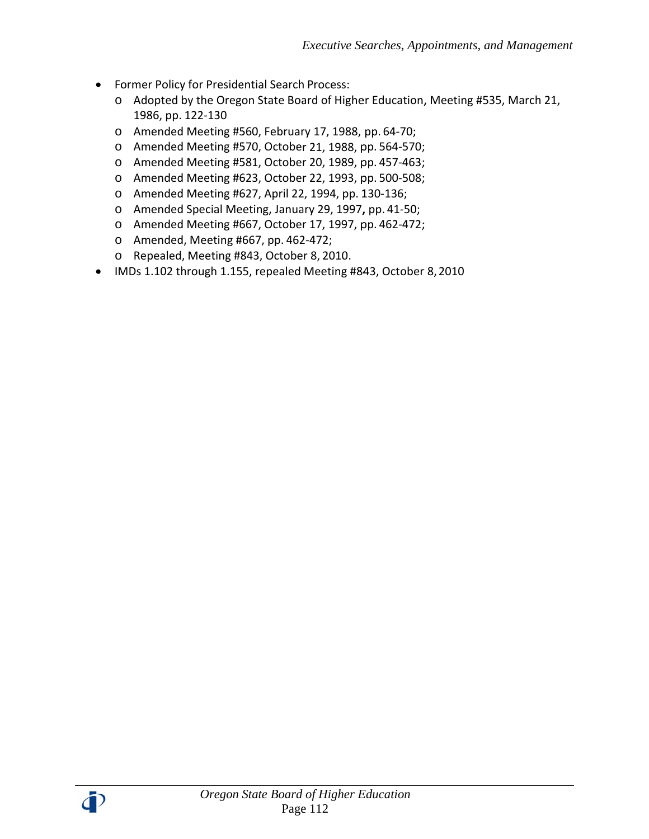- Former Policy for Presidential Search Process:
	- o Adopted by the Oregon State Board of Higher Education, Meeting #535, March 21, 1986, pp. 122‐130
	- o Amended d Meeting #5 560, Februar ry 17, 1988, pp. 64‐70;
	- o Amended Meeting #570, October 21, 1988, pp. 564-570;
	- o Amended d Meeting #5 581, Octobe r 20, 1989, p pp. 457‐463;
	- o Amended Meeting #623, October 22, 1993, pp. 500-508;
	- o Amended d Meeting #6 627, April 22 2, 1994, pp. 1 130‐136;
	- o Amended Special Meeting, January 29, 1997, pp. 41-50;
	- o Amended Meeting #667, October 17, 1997, pp. 462-472;
	- o Amended d, Meeting # 667, pp. 462 2‐472;
	- o Repealed , Meeting #8 843, Octobe r 8, 2010.
- IMDs 1.102 through 1.155, repealed Meeting #843, October ;;<br>;;<br>;<br>r 8,2010

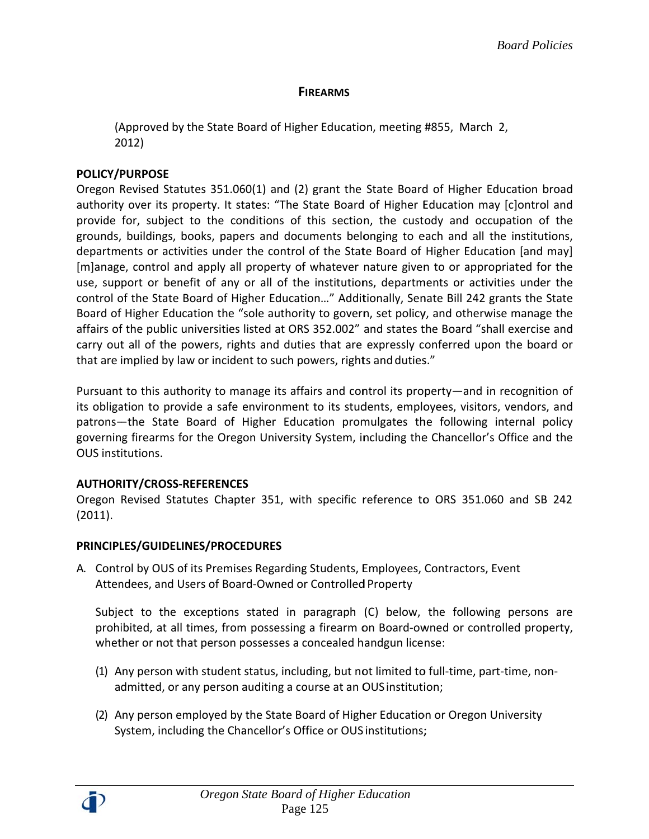### **FIREARMS**

(Approved by the State Board of Higher Education, meeting #855, March 2,  $2012)$ 

#### **POLICY/PURPOSE**

Oregon Revised Statutes 351.060(1) and (2) grant the State Board of Higher Education broad authority over its property. It states: "The State Board of Higher Education may [c]ontrol and provide for, subject to the conditions of this section, the custody and occupation of the grounds, buildings, books, papers and documents belonging to each and all the institutions, departments or activities under the control of the State Board of Higher Education [and may] [m]anage, control and apply all property of whatever nature given to or appropriated for the use, support or benefit of any or all of the institutions, departments or activities under the control of the State Board of Higher Education..." Additionally, Senate Bill 242 grants the State Board of Higher Education the "sole authority to govern, set policy, and otherwise manage the affairs of the public universities listed at ORS 352.002" and states the Board "shall exercise and carry out all of the powers, rights and duties that are expressly conferred upon the board or that are implied by law or incident to such powers, rights and duties."

Pursuant to this authority to manage its affairs and control its property—and in recognition of its obligation to provide a safe environment to its students, employees, visitors, vendors, and patrons—the State Board of Higher Education promulgates the following internal policy governing firearms for the Oregon University System, including the Chancellor's Office and the OUS institutions.

#### **AUTHORITY/CROSS-REFERENCES**

Oregon Revised Statutes Chapter 351, with specific reference to ORS 351.060 and SB 242  $(2011).$ 

### PRINCIPLES/GUIDELINES/PROCEDURES

A. Control by OUS of its Premises Regarding Students, Employees, Contractors, Event Attendees, and Users of Board-Owned or Controlled Property

Subject to the exceptions stated in paragraph (C) below, the following persons are prohibited, at all times, from possessing a firearm on Board-owned or controlled property, whether or not that person possesses a concealed handgun license:

- (1) Any person with student status, including, but not limited to full-time, part-time, nonadmitted, or any person auditing a course at an OUS institution;
- (2) Any person employed by the State Board of Higher Education or Oregon University System, including the Chancellor's Office or OUS institutions;

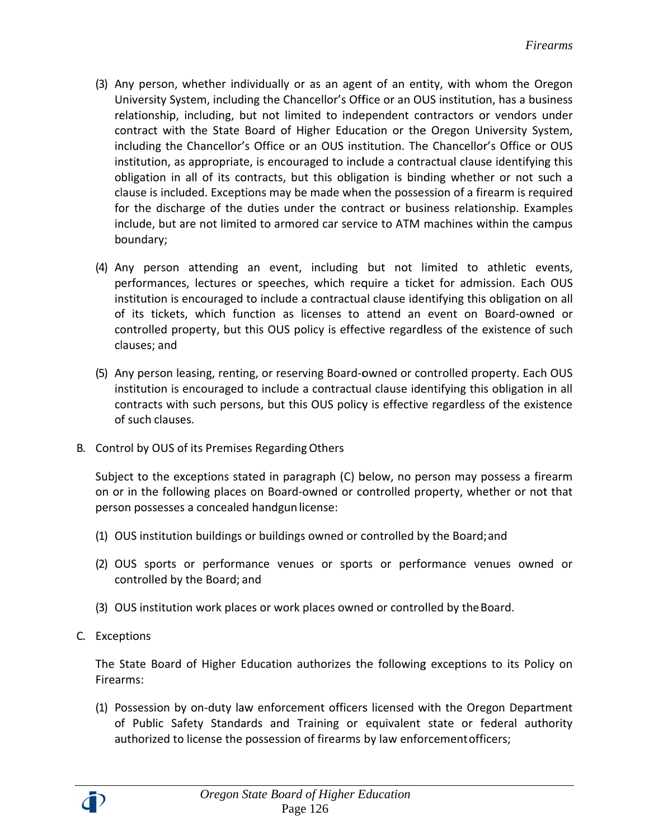- (3) Any person, whether individually or as an agent of an entity, with whom the Oregon University System, including the Chancellor's Office or an OUS institution, has a business relationship, including, but not limited to independent contractors or vendors under contract with the State Board of Higher Education or the Oregon University System, including the Chancellor's Office or an OUS institution. The Chancellor's Office or OUS institution, as appropriate, is encouraged to include a contractual clause identifying this obligation in all of its contracts, but this obligation is binding whether or not such a clause is included. Exceptions may be made when the possession of a firearm is required for the discharge of the duties under the contract or business relationship. Examples include, but are not limited to armored car service to ATM machines within the campus boundary;
- (4) Any person attending an event, including but not limited to athletic events, performances, lectures or speeches, which require a ticket for admission. Each OUS institution is encouraged to include a contractual clause identifying this obligation on all of its tickets, which function as licenses to attend an event on Board-owned or controlled property, but this OUS policy is effective regardless of the existence of such clauses; and
- (5) Any person leasing, renting, or reserving Board-owned or controlled property. Each OUS institution is encouraged to include a contractual clause identifying this obligation in all contracts with such persons, but this OUS policy is effective regardless of the existence of such clauses.
- B. Control by OUS of its Premises Regarding Others

Subject to the exceptions stated in paragraph (C) below, no person may possess a firearm on or in the following places on Board-owned or controlled property, whether or not that person possesses a concealed handgun license:

- (1) OUS institution buildings or buildings owned or controlled by the Board; and
- (2) OUS sports or performance venues or sports or performance venues owned or controlled by the Board; and
- (3) OUS institution work places or work places owned or controlled by the Board.
- C. Exceptions

The State Board of Higher Education authorizes the following exceptions to its Policy on Firearms:

(1) Possession by on-duty law enforcement officers licensed with the Oregon Department of Public Safety Standards and Training or equivalent state or federal authority authorized to license the possession of firearms by law enforcement officers;

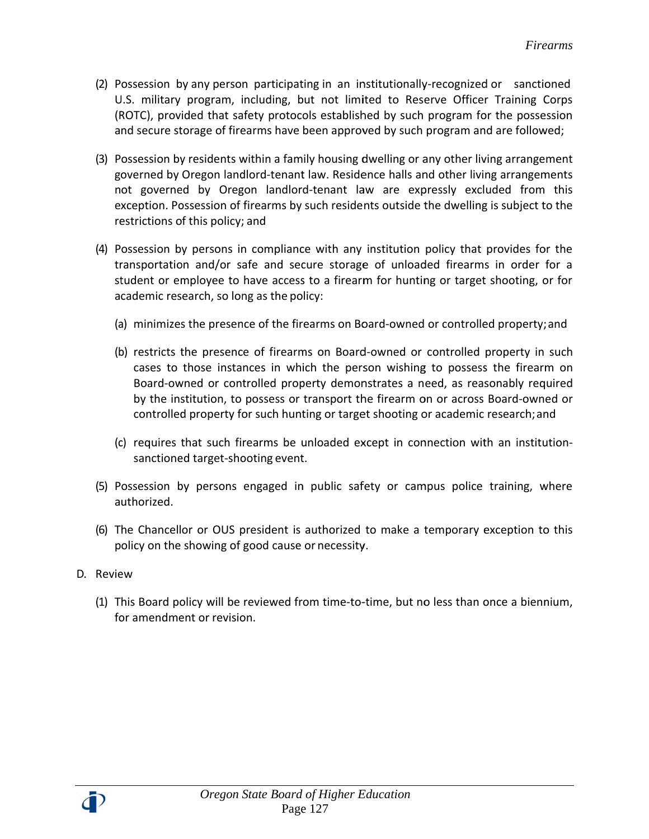- (2) Possession by any person participating in an institutionally-recognized or sanctioned U.S. military program, including, but not limited to Reserve Officer Training Corps (ROTC), provided that safety protocols established by such program for the possession and secure storage of firearms have been approved by such program and are followed;
- (3) Possession by residents within a family housing dwelling or any other living arrangement governed by Oregon landlord-tenant law. Residence halls and other living arrangements not governed by Oregon landlord-tenant law are expressly excluded from this exception. Possession of firearms by such residents outside the dwelling is subject to the restrictions of this policy; and
- (4) Possession by persons in compliance with any institution policy that provides for the transportation and/or safe and secure storage of unloaded firearms in order for a student or employee to have access to a firearm for hunting or target shooting, or for academic research, so long as the policy:
	- (a) minimizes the presence of the firearms on Board-owned or controlled property; and
	- (b) restricts the presence of firearms on Board-owned or controlled property in such cases to those instances in which the person wishing to possess the firearm on Board-owned or controlled property demonstrates a need, as reasonably required by the institution, to possess or transport the firearm on or across Board-owned or controlled property for such hunting or target shooting or academic research; and
	- (c) requires that such firearms be unloaded except in connection with an institutionsanctioned target-shooting event.
- (5) Possession by persons engaged in public safety or campus police training, where authorized.
- (6) The Chancellor or OUS president is authorized to make a temporary exception to this policy on the showing of good cause or necessity.
- D. Review
	- (1) This Board policy will be reviewed from time-to-time, but no less than once a biennium, for amendment or revision.

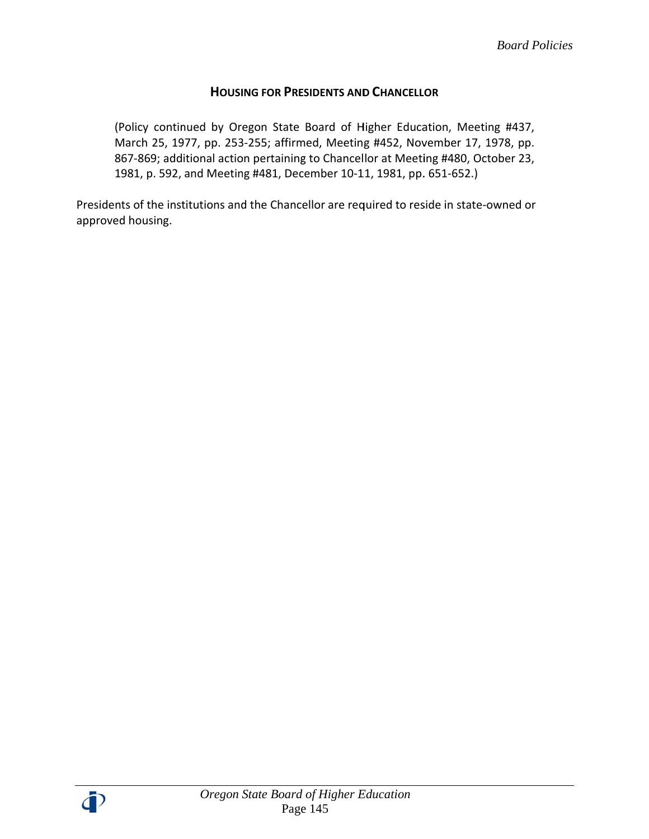#### **HOUSING FOR PRESIDENTS AND CHANCELLOR**

(Policy continued by Oregon State Board of Higher Education, Meeting #437, March 25, 1977, pp. 253-255; affirmed, Meeting #452, November 17, 1978, pp. 867-869; additional action pertaining to Chancellor at Meeting #480, October 23, 1981, p. 592, and Meeting #481, December 10-11, 1981, pp. 651-652.)

Presidents of the institutions and the Chancellor are required to reside in state-owned or approved housing.

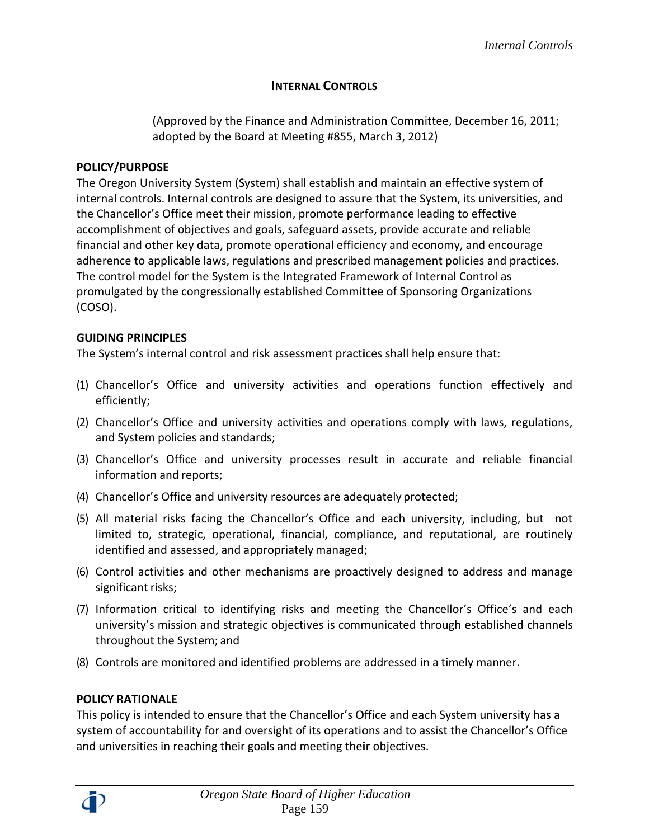### **INTERNAL CONTROLS**

(Approved by the Finance and Administration Committee, December 16, 2011; adopted by the Board at Meeting #855, March 3, 2012)

#### **POLICY/PURPOSE**

The Oregon University System (System) shall establish and maintain an effective system of internal controls. Internal controls are designed to assure that the System, its universities, and the Chancellor's Office meet their mission, promote performance leading to effective accomplishment of objectives and goals, safeguard assets, provide accurate and reliable financial and other key data, promote operational efficiency and economy, and encourage adherence to applicable laws, regulations and prescribed management policies and practices. The control model for the System is the Integrated Framework of Internal Control as promulgated by the congressionally established Committee of Sponsoring Organizations  $(COSO)$ .

#### **GUIDING PRINCIPLES**

The System's internal control and risk assessment practices shall help ensure that:

- (1) Chancellor's Office and university activities and operations function effectively and efficiently;
- (2) Chancellor's Office and university activities and operations comply with laws, regulations, and System policies and standards;
- (3) Chancellor's Office and university processes result in accurate and reliable financial information and reports;
- (4) Chancellor's Office and university resources are adequately protected;
- (5) All material risks facing the Chancellor's Office and each university, including, but not limited to, strategic, operational, financial, compliance, and reputational, are routinely identified and assessed, and appropriately managed;
- (6) Control activities and other mechanisms are proactively designed to address and manage significant risks;
- (7) Information critical to identifying risks and meeting the Chancellor's Office's and each university's mission and strategic objectives is communicated through established channels throughout the System; and
- (8) Controls are monitored and identified problems are addressed in a timely manner.

#### **POLICY RATIONALE**

This policy is intended to ensure that the Chancellor's Office and each System university has a system of accountability for and oversight of its operations and to assist the Chancellor's Office and universities in reaching their goals and meeting their objectives.

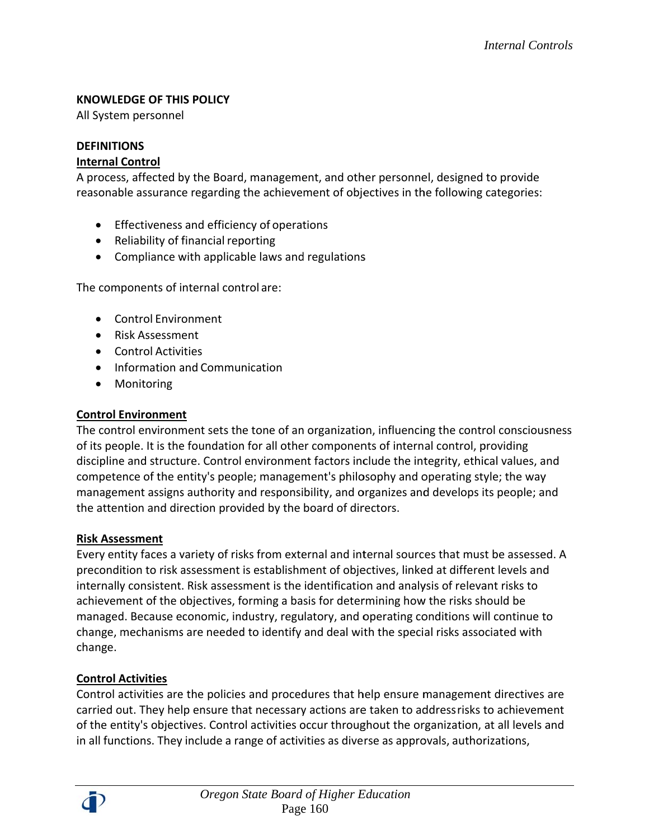#### **KNOWLEDGE OF THIS POLICY**

All System personnel

#### **DEFINITIONS**

#### **Internal Control**

A process, affected by the Board, management, and other personnel, designed to provide reasonable assurance regarding the achievement of objectives in the following categories:

- Effectiveness and efficiency of operations
- Reliability of financial reporting
- Compliance with applicable laws and regulations

The components of internal control are:

- Control Environment
- Risk Assessment
- Control Activities
- Information and Communication
- Monitoring

#### **Control Environment**

The control environment sets the tone of an organization, influencing the control consciousness of its people. It is the foundation for all other components of internal control, providing discipline and structure. Control environment factors include the integrity, ethical values, and competence of the entity's people; management's philosophy and operating style; the way management assigns authority and responsibility, and organizes and develops its people; and the attention and direction provided by the board of directors.

#### **Risk Assessment**

Every entity faces a variety of risks from external and internal sources that must be assessed. A precondition to risk assessment is establishment of objectives, linked at different levels and internally consistent. Risk assessment is the identification and analysis of relevant risks to achievement of the objectives, forming a basis for determining how the risks should be managed. Because economic, industry, regulatory, and operating conditions will continue to change, mechanisms are needed to identify and deal with the special risks associated with change.

#### **Control Activities**

Control activities are the policies and procedures that help ensure management directives are carried out. They help ensure that necessary actions are taken to addressrisks to achievement of the entity's objectives. Control activities occur throughout the organization, at all levels and in all functions. They include a range of activities as diverse as approvals, authorizations,

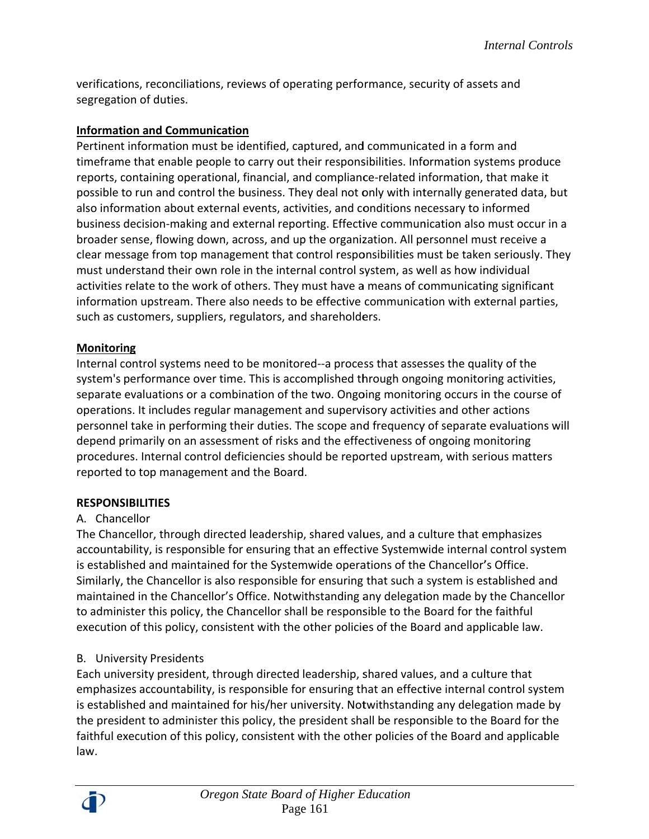verifications, reconciliations, reviews of operating performance, security of assets and segregation of duties.

#### **Information and Communication**

Pertinent information must be identified, captured, and communicated in a form and timeframe that enable people to carry out their responsibilities. Information systems produce reports, containing operational, financial, and compliance-related information, that make it possible to run and control the business. They deal not only with internally generated data, but also information about external events, activities, and conditions necessary to informed business decision-making and external reporting. Effective communication also must occur in a broader sense, flowing down, across, and up the organization. All personnel must receive a clear message from top management that control responsibilities must be taken seriously. They must understand their own role in the internal control system, as well as how individual activities relate to the work of others. They must have a means of communicating significant information upstream. There also needs to be effective communication with external parties, such as customers, suppliers, regulators, and shareholders.

#### **Monitoring**

Internal control systems need to be monitored--a process that assesses the quality of the system's performance over time. This is accomplished through ongoing monitoring activities, separate evaluations or a combination of the two. Ongoing monitoring occurs in the course of operations. It includes regular management and supervisory activities and other actions personnel take in performing their duties. The scope and frequency of separate evaluations will depend primarily on an assessment of risks and the effectiveness of ongoing monitoring procedures. Internal control deficiencies should be reported upstream, with serious matters reported to top management and the Board.

#### **RESPONSIBILITIES**

### A. Chancellor

The Chancellor, through directed leadership, shared values, and a culture that emphasizes accountability, is responsible for ensuring that an effective Systemwide internal control system is established and maintained for the Systemwide operations of the Chancellor's Office. Similarly, the Chancellor is also responsible for ensuring that such a system is established and maintained in the Chancellor's Office. Notwithstanding any delegation made by the Chancellor to administer this policy, the Chancellor shall be responsible to the Board for the faithful execution of this policy, consistent with the other policies of the Board and applicable law.

### **B.** University Presidents

Each university president, through directed leadership, shared values, and a culture that emphasizes accountability, is responsible for ensuring that an effective internal control system is established and maintained for his/her university. Notwithstanding any delegation made by the president to administer this policy, the president shall be responsible to the Board for the faithful execution of this policy, consistent with the other policies of the Board and applicable law.

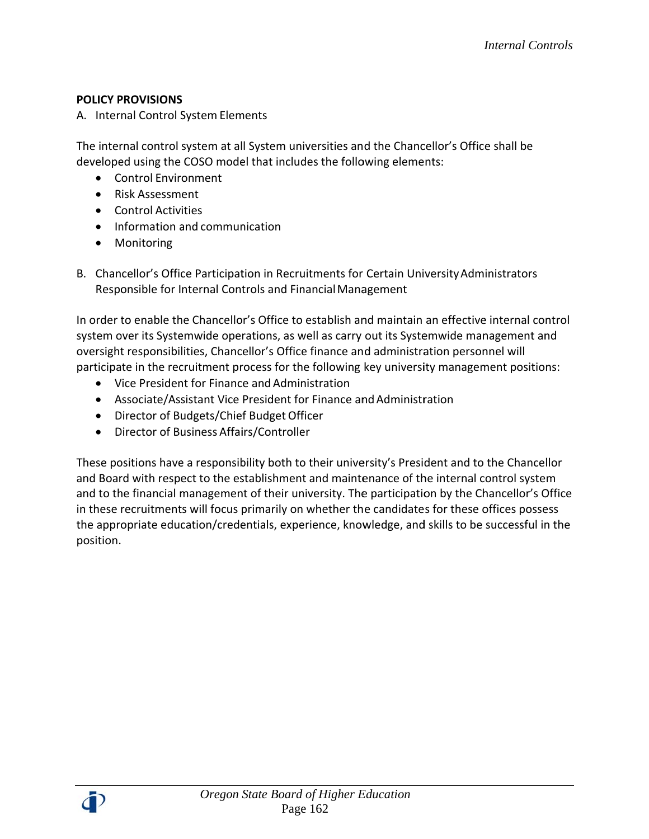#### **POLICY PROVISIONS**

A. Internal Control System Elements

The internal control system at all System universities and the Chancellor's Office shall be developed using the COSO model that includes the following elements:

- Control Environment
- Risk Assessment
- Control Activities
- Information and communication
- Monitoring
- B. Chancellor's Office Participation in Recruitments for Certain University Administrators Responsible for Internal Controls and Financial Management

In order to enable the Chancellor's Office to establish and maintain an effective internal control system over its Systemwide operations, as well as carry out its Systemwide management and oversight responsibilities, Chancellor's Office finance and administration personnel will participate in the recruitment process for the following key university management positions:

- Vice President for Finance and Administration
- Associate/Assistant Vice President for Finance and Administration
- Director of Budgets/Chief Budget Officer
- Director of Business Affairs/Controller

These positions have a responsibility both to their university's President and to the Chancellor and Board with respect to the establishment and maintenance of the internal control system and to the financial management of their university. The participation by the Chancellor's Office in these recruitments will focus primarily on whether the candidates for these offices possess the appropriate education/credentials, experience, knowledge, and skills to be successful in the position.

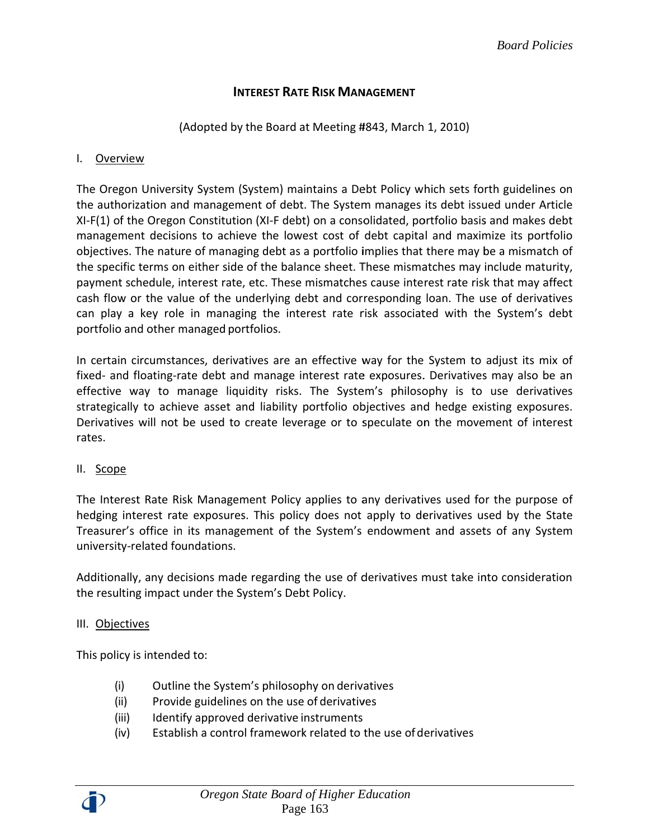#### **INTEREST RATE RISK MANAGEMENT**

(Adopted by the Board at Meeting #843, March 1, 2010)

#### I. Overview

The Oregon University System (System) maintains a Debt Policy which sets forth guidelines on the authorization and management of debt. The System manages its debt issued under Article XI-F(1) of the Oregon Constitution (XI-F debt) on a consolidated, portfolio basis and makes debt management decisions to achieve the lowest cost of debt capital and maximize its portfolio objectives. The nature of managing debt as a portfolio implies that there may be a mismatch of the specific terms on either side of the balance sheet. These mismatches may include maturity, payment schedule, interest rate, etc. These mismatches cause interest rate risk that may affect cash flow or the value of the underlying debt and corresponding loan. The use of derivatives can play a key role in managing the interest rate risk associated with the System's debt portfolio and other managed portfolios.

In certain circumstances, derivatives are an effective way for the System to adjust its mix of fixed- and floating-rate debt and manage interest rate exposures. Derivatives may also be an effective way to manage liquidity risks. The System's philosophy is to use derivatives strategically to achieve asset and liability portfolio objectives and hedge existing exposures. Derivatives will not be used to create leverage or to speculate on the movement of interest rates.

#### II. Scope

The Interest Rate Risk Management Policy applies to any derivatives used for the purpose of hedging interest rate exposures. This policy does not apply to derivatives used by the State Treasurer's office in its management of the System's endowment and assets of any System university-related foundations.

Additionally, any decisions made regarding the use of derivatives must take into consideration the resulting impact under the System's Debt Policy.

#### III. Objectives

This policy is intended to:

- $(i)$ Outline the System's philosophy on derivatives
- $(ii)$ Provide guidelines on the use of derivatives
- Identify approved derivative instruments  $(iii)$
- $(iv)$ Establish a control framework related to the use of derivatives

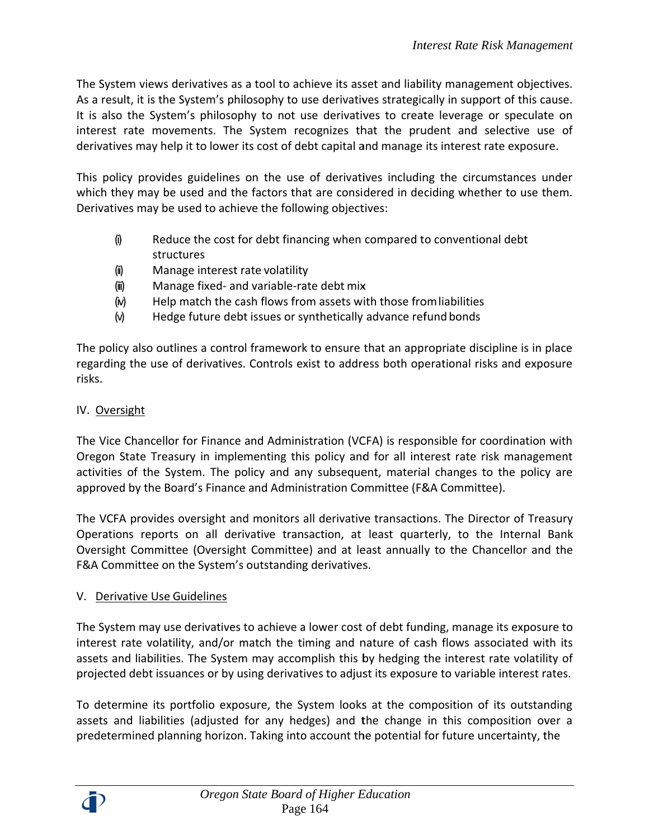The System views derivatives as a tool to achieve its asset and liability management objectives. As a result, it is the System's philosophy to use derivatives strategically in support of this cause. It is also the System's philosophy to not use derivatives to create leverage or speculate on interest rate movements. The System recognizes that the prudent and selective use of derivatives may help it to lower its cost of debt capital and manage its interest rate exposure.

This policy provides guidelines on the use of derivatives including the circumstances under which they may be used and the factors that are considered in deciding whether to use them. Derivatives may be used to achieve the following objectives:

- Reduce the cost for debt financing when compared to conventional debt  $(i)$ structures
- Manage interest rate volatility  $(ii)$
- $(iii)$ Manage fixed- and variable-rate debt mix
- (iv) Help match the cash flows from assets with those from liabilities
- Hedge future debt issues or synthetically advance refund bonds (v)

The policy also outlines a control framework to ensure that an appropriate discipline is in place regarding the use of derivatives. Controls exist to address both operational risks and exposure risks.

#### IV. Oversight

The Vice Chancellor for Finance and Administration (VCFA) is responsible for coordination with Oregon State Treasury in implementing this policy and for all interest rate risk management activities of the System. The policy and any subsequent, material changes to the policy are approved by the Board's Finance and Administration Committee (F&A Committee).

The VCFA provides oversight and monitors all derivative transactions. The Director of Treasury Operations reports on all derivative transaction, at least quarterly, to the Internal Bank Oversight Committee (Oversight Committee) and at least annually to the Chancellor and the F&A Committee on the System's outstanding derivatives.

#### V. Derivative Use Guidelines

The System may use derivatives to achieve a lower cost of debt funding, manage its exposure to interest rate volatility, and/or match the timing and nature of cash flows associated with its assets and liabilities. The System may accomplish this by hedging the interest rate volatility of projected debt issuances or by using derivatives to adjust its exposure to variable interest rates.

To determine its portfolio exposure, the System looks at the composition of its outstanding assets and liabilities (adjusted for any hedges) and the change in this composition over a predetermined planning horizon. Taking into account the potential for future uncertainty, the

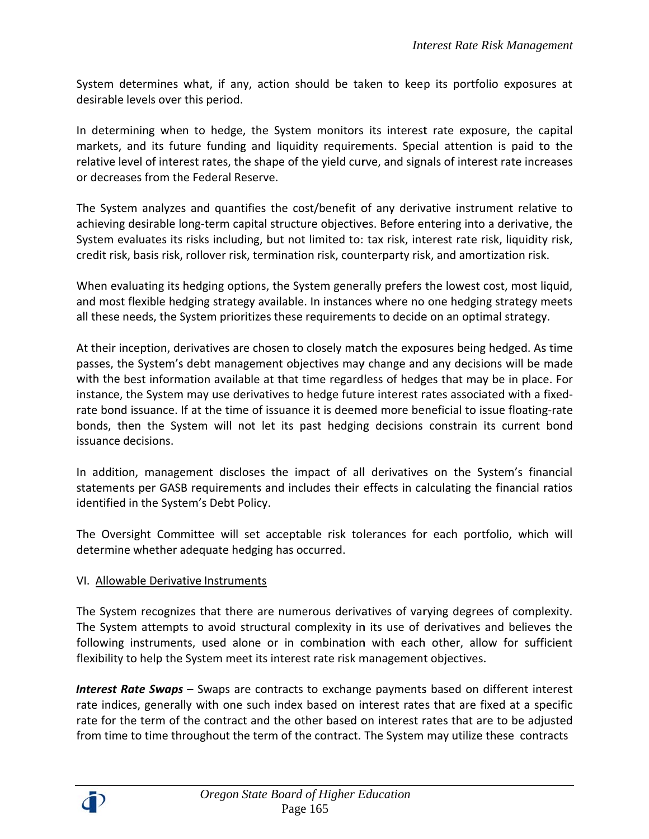System determines what, if any, action should be taken to keep its portfolio exposures at desirable levels over this period.

In determining when to hedge, the System monitors its interest rate exposure, the capital markets, and its future funding and liquidity requirements. Special attention is paid to the relative level of interest rates, the shape of the yield curve, and signals of interest rate increases or decreases from the Federal Reserve.

The System analyzes and quantifies the cost/benefit of any derivative instrument relative to achieving desirable long-term capital structure objectives. Before entering into a derivative, the System evaluates its risks including, but not limited to: tax risk, interest rate risk, liquidity risk, credit risk, basis risk, rollover risk, termination risk, counterparty risk, and amortization risk.

When evaluating its hedging options, the System generally prefers the lowest cost, most liquid, and most flexible hedging strategy available. In instances where no one hedging strategy meets all these needs, the System prioritizes these requirements to decide on an optimal strategy.

At their inception, derivatives are chosen to closely match the exposures being hedged. As time passes, the System's debt management objectives may change and any decisions will be made with the best information available at that time regardless of hedges that may be in place. For instance, the System may use derivatives to hedge future interest rates associated with a fixedrate bond issuance. If at the time of issuance it is deemed more beneficial to issue floating-rate bonds, then the System will not let its past hedging decisions constrain its current bond issuance decisions.

In addition, management discloses the impact of all derivatives on the System's financial statements per GASB requirements and includes their effects in calculating the financial ratios identified in the System's Debt Policy.

The Oversight Committee will set acceptable risk tolerances for each portfolio, which will determine whether adequate hedging has occurred.

#### VI. Allowable Derivative Instruments

The System recognizes that there are numerous derivatives of varying degrees of complexity. The System attempts to avoid structural complexity in its use of derivatives and believes the following instruments, used alone or in combination with each other, allow for sufficient flexibility to help the System meet its interest rate risk management objectives.

**Interest Rate Swaps** – Swaps are contracts to exchange payments based on different interest rate indices, generally with one such index based on interest rates that are fixed at a specific rate for the term of the contract and the other based on interest rates that are to be adjusted from time to time throughout the term of the contract. The System may utilize these contracts

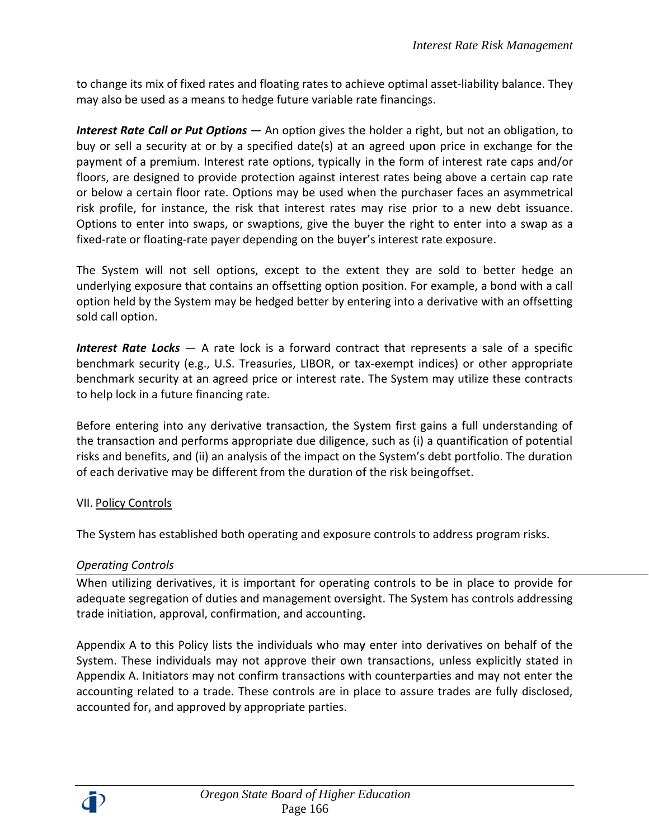to change its mix of fixed rates and floating rates to achieve optimal asset-liability balance. They may also be used as a means to hedge future variable rate financings.

**Interest Rate Call or Put Options** — An option gives the holder a right, but not an obligation, to buy or sell a security at or by a specified date(s) at an agreed upon price in exchange for the payment of a premium. Interest rate options, typically in the form of interest rate caps and/or floors, are designed to provide protection against interest rates being above a certain cap rate or below a certain floor rate. Options may be used when the purchaser faces an asymmetrical risk profile, for instance, the risk that interest rates may rise prior to a new debt issuance. Options to enter into swaps, or swaptions, give the buyer the right to enter into a swap as a fixed-rate or floating-rate payer depending on the buyer's interest rate exposure.

The System will not sell options, except to the extent they are sold to better hedge an underlying exposure that contains an offsetting option position. For example, a bond with a call option held by the System may be hedged better by entering into a derivative with an offsetting sold call option.

**Interest Rate Locks**  $-$  A rate lock is a forward contract that represents a sale of a specific benchmark security (e.g., U.S. Treasuries, LIBOR, or tax-exempt indices) or other appropriate benchmark security at an agreed price or interest rate. The System may utilize these contracts to help lock in a future financing rate.

Before entering into any derivative transaction, the System first gains a full understanding of the transaction and performs appropriate due diligence, such as (i) a quantification of potential risks and benefits, and (ii) an analysis of the impact on the System's debt portfolio. The duration of each derivative may be different from the duration of the risk being offset.

### **VII. Policy Controls**

The System has established both operating and exposure controls to address program risks.

### **Operating Controls**

When utilizing derivatives, it is important for operating controls to be in place to provide for adequate segregation of duties and management oversight. The System has controls addressing trade initiation, approval, confirmation, and accounting.

Appendix A to this Policy lists the individuals who may enter into derivatives on behalf of the System. These individuals may not approve their own transactions, unless explicitly stated in Appendix A. Initiators may not confirm transactions with counterparties and may not enter the accounting related to a trade. These controls are in place to assure trades are fully disclosed, accounted for, and approved by appropriate parties.

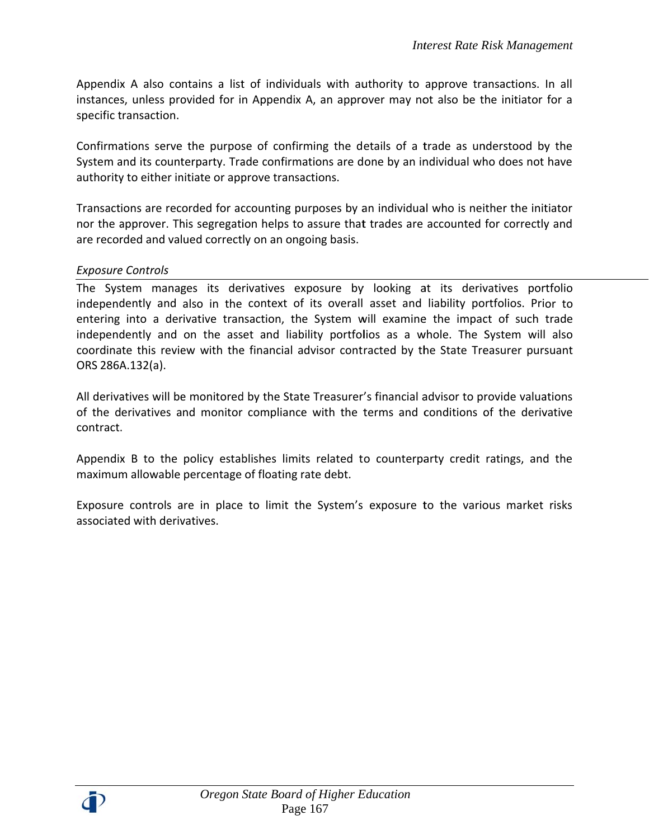Appendix A also contains a list of individuals with authority to approve transactions. In all instances, unless provided for in Appendix A, an approver may not also be the initiator for a specific transaction.

Confirmations serve the purpose of confirming the details of a trade as understood by the System and its counterparty. Trade confirmations are done by an individual who does not have authority to either initiate or approve transactions.

Transactions are recorded for accounting purposes by an individual who is neither the initiator nor the approver. This segregation helps to assure that trades are accounted for correctly and are recorded and valued correctly on an ongoing basis.

#### **Exposure Controls**

The System manages its derivatives exposure by looking at its derivatives portfolio independently and also in the context of its overall asset and liability portfolios. Prior to entering into a derivative transaction, the System will examine the impact of such trade independently and on the asset and liability portfolios as a whole. The System will also coordinate this review with the financial advisor contracted by the State Treasurer pursuant ORS 286A.132(a).

All derivatives will be monitored by the State Treasurer's financial advisor to provide valuations of the derivatives and monitor compliance with the terms and conditions of the derivative contract.

Appendix B to the policy establishes limits related to counterparty credit ratings, and the maximum allowable percentage of floating rate debt.

Exposure controls are in place to limit the System's exposure to the various market risks associated with derivatives.

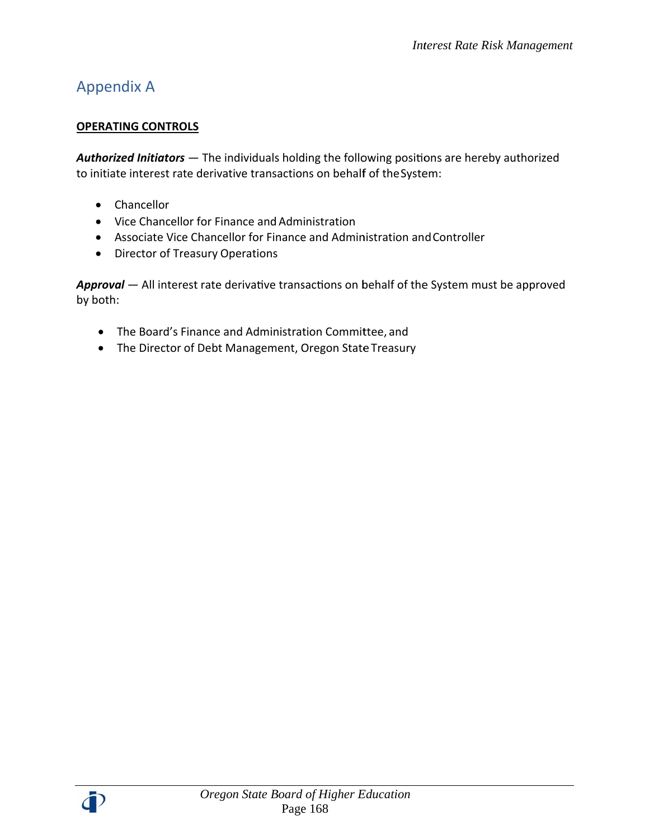# **Appendix A**

### **OPERATING CONTROLS**

Authorized Initiators - The individuals holding the following positions are hereby authorized to initiate interest rate derivative transactions on behalf of the System:

- Chancellor
- Vice Chancellor for Finance and Administration
- Associate Vice Chancellor for Finance and Administration and Controller
- Director of Treasury Operations

Approval - All interest rate derivative transactions on behalf of the System must be approved by both:

- The Board's Finance and Administration Committee, and
- The Director of Debt Management, Oregon State Treasury

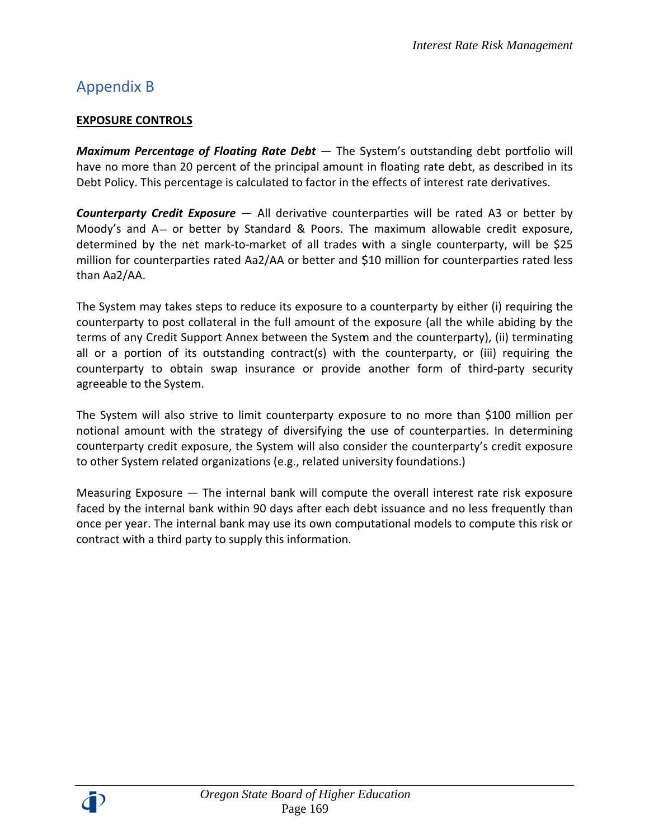# **Appendix B**

#### **EXPOSURE CONTROLS**

Maximum Percentage of Floating Rate Debt - The System's outstanding debt portfolio will have no more than 20 percent of the principal amount in floating rate debt, as described in its Debt Policy. This percentage is calculated to factor in the effects of interest rate derivatives.

**Counterparty Credit Exposure** – All derivative counterparties will be rated A3 or better by Moody's and A- or better by Standard & Poors. The maximum allowable credit exposure, determined by the net mark-to-market of all trades with a single counterparty, will be \$25 million for counterparties rated Aa2/AA or better and \$10 million for counterparties rated less than Aa2/AA.

The System may takes steps to reduce its exposure to a counterparty by either (i) requiring the counterparty to post collateral in the full amount of the exposure (all the while abiding by the terms of any Credit Support Annex between the System and the counterparty), (ii) terminating all or a portion of its outstanding contract(s) with the counterparty, or (iii) requiring the counterparty to obtain swap insurance or provide another form of third-party security agreeable to the System.

The System will also strive to limit counterparty exposure to no more than \$100 million per notional amount with the strategy of diversifying the use of counterparties. In determining counterparty credit exposure, the System will also consider the counterparty's credit exposure to other System related organizations (e.g., related university foundations.)

Measuring Exposure – The internal bank will compute the overall interest rate risk exposure faced by the internal bank within 90 days after each debt issuance and no less frequently than once per year. The internal bank may use its own computational models to compute this risk or contract with a third party to supply this information.